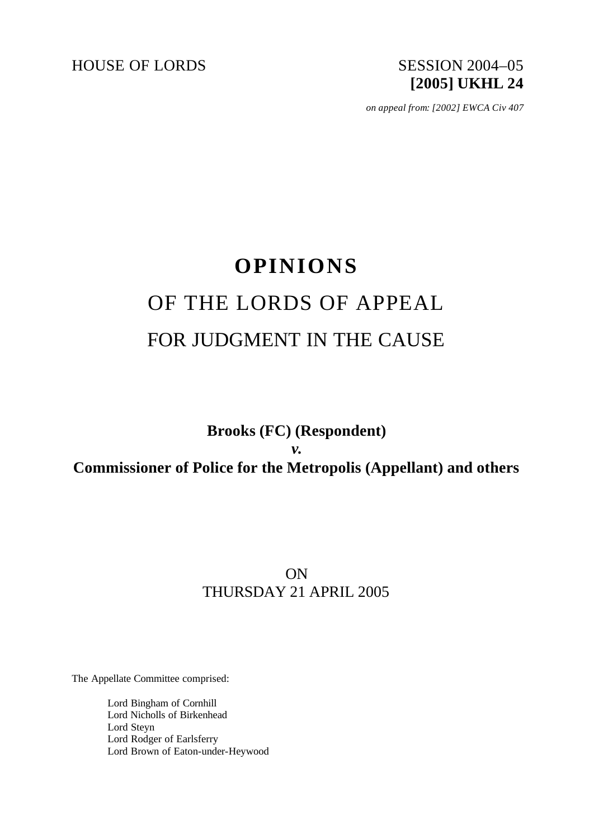

*on appeal from: [2002] EWCA Civ 407*

# **OPINIONS** OF THE LORDS OF APPEAL FOR JUDGMENT IN THE CAUSE

# **Brooks (FC) (Respondent)** *v.* **Commissioner of Police for the Metropolis (Appellant) and others**

## ON THURSDAY 21 APRIL 2005

The Appellate Committee comprised:

Lord Bingham of Cornhill Lord Nicholls of Birkenhead Lord Steyn Lord Rodger of Earlsferry Lord Brown of Eaton-under-Heywood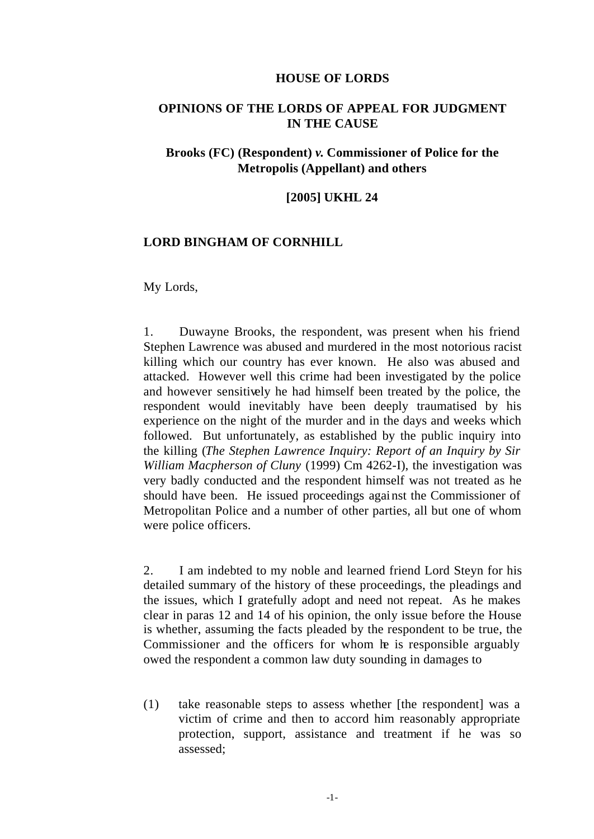#### **HOUSE OF LORDS**

## **OPINIONS OF THE LORDS OF APPEAL FOR JUDGMENT IN THE CAUSE**

## **Brooks (FC) (Respondent)** *v.* **Commissioner of Police for the Metropolis (Appellant) and others**

#### **[2005] UKHL 24**

#### **LORD BINGHAM OF CORNHILL**

#### My Lords,

1. Duwayne Brooks, the respondent, was present when his friend Stephen Lawrence was abused and murdered in the most notorious racist killing which our country has ever known. He also was abused and attacked. However well this crime had been investigated by the police and however sensitively he had himself been treated by the police, the respondent would inevitably have been deeply traumatised by his experience on the night of the murder and in the days and weeks which followed. But unfortunately, as established by the public inquiry into the killing (*The Stephen Lawrence Inquiry: Report of an Inquiry by Sir William Macpherson of Cluny* (1999) Cm 4262-I), the investigation was very badly conducted and the respondent himself was not treated as he should have been. He issued proceedings against the Commissioner of Metropolitan Police and a number of other parties, all but one of whom were police officers.

2. I am indebted to my noble and learned friend Lord Steyn for his detailed summary of the history of these proceedings, the pleadings and the issues, which I gratefully adopt and need not repeat. As he makes clear in paras 12 and 14 of his opinion, the only issue before the House is whether, assuming the facts pleaded by the respondent to be true, the Commissioner and the officers for whom he is responsible arguably owed the respondent a common law duty sounding in damages to

(1) take reasonable steps to assess whether [the respondent] was a victim of crime and then to accord him reasonably appropriate protection, support, assistance and treatment if he was so assessed;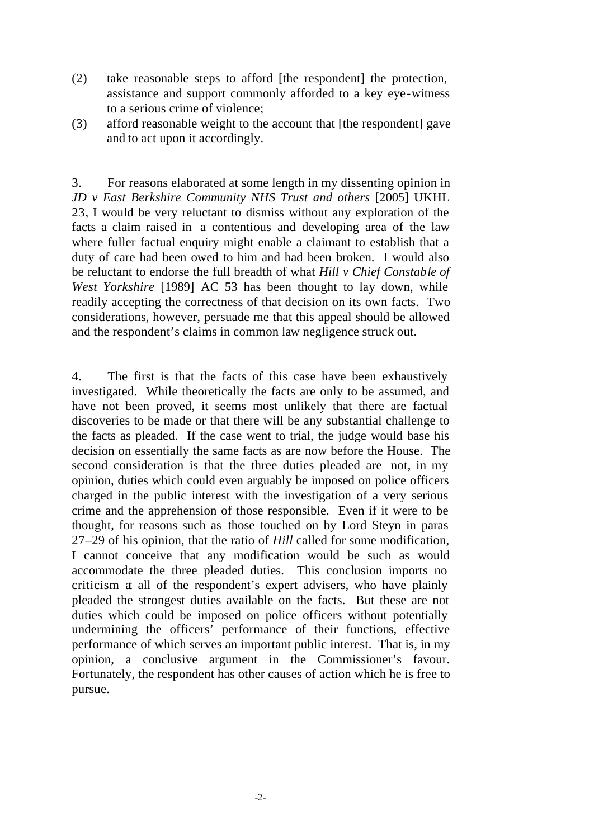- (2) take reasonable steps to afford [the respondent] the protection, assistance and support commonly afforded to a key eye-witness to a serious crime of violence;
- (3) afford reasonable weight to the account that [the respondent] gave and to act upon it accordingly.

3. For reasons elaborated at some length in my dissenting opinion in *JD v East Berkshire Community NHS Trust and others* [2005] UKHL 23, I would be very reluctant to dismiss without any exploration of the facts a claim raised in a contentious and developing area of the law where fuller factual enquiry might enable a claimant to establish that a duty of care had been owed to him and had been broken. I would also be reluctant to endorse the full breadth of what *Hill v Chief Constable of West Yorkshire* [1989] AC 53 has been thought to lay down, while readily accepting the correctness of that decision on its own facts. Two considerations, however, persuade me that this appeal should be allowed and the respondent's claims in common law negligence struck out.

4. The first is that the facts of this case have been exhaustively investigated. While theoretically the facts are only to be assumed, and have not been proved, it seems most unlikely that there are factual discoveries to be made or that there will be any substantial challenge to the facts as pleaded. If the case went to trial, the judge would base his decision on essentially the same facts as are now before the House. The second consideration is that the three duties pleaded are not, in my opinion, duties which could even arguably be imposed on police officers charged in the public interest with the investigation of a very serious crime and the apprehension of those responsible. Even if it were to be thought, for reasons such as those touched on by Lord Steyn in paras 27–29 of his opinion, that the ratio of *Hill* called for some modification, I cannot conceive that any modification would be such as would accommodate the three pleaded duties. This conclusion imports no criticism at all of the respondent's expert advisers, who have plainly pleaded the strongest duties available on the facts. But these are not duties which could be imposed on police officers without potentially undermining the officers' performance of their functions, effective performance of which serves an important public interest. That is, in my opinion, a conclusive argument in the Commissioner's favour. Fortunately, the respondent has other causes of action which he is free to pursue.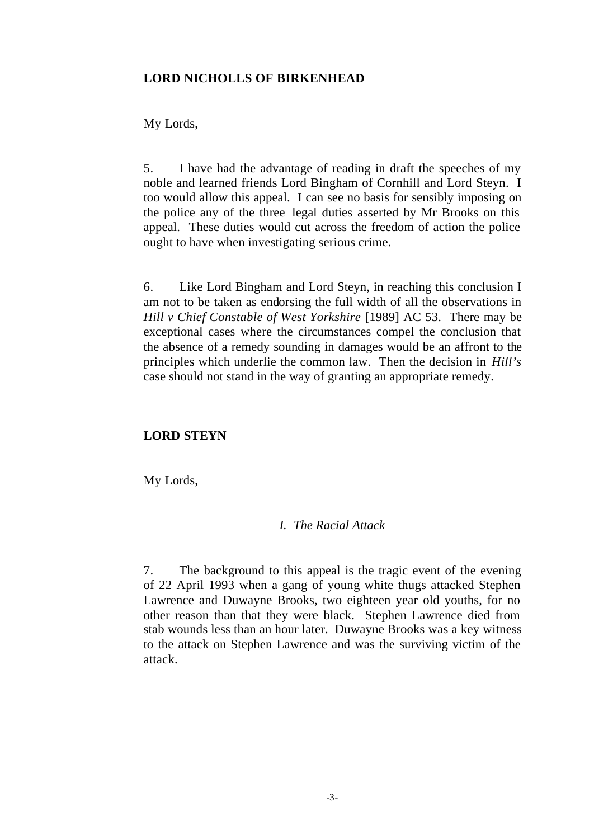## **LORD NICHOLLS OF BIRKENHEAD**

## My Lords,

5. I have had the advantage of reading in draft the speeches of my noble and learned friends Lord Bingham of Cornhill and Lord Steyn. I too would allow this appeal. I can see no basis for sensibly imposing on the police any of the three legal duties asserted by Mr Brooks on this appeal. These duties would cut across the freedom of action the police ought to have when investigating serious crime.

6. Like Lord Bingham and Lord Steyn, in reaching this conclusion I am not to be taken as endorsing the full width of all the observations in *Hill v Chief Constable of West Yorkshire* [1989] AC 53. There may be exceptional cases where the circumstances compel the conclusion that the absence of a remedy sounding in damages would be an affront to the principles which underlie the common law. Then the decision in *Hill's* case should not stand in the way of granting an appropriate remedy.

## **LORD STEYN**

My Lords,

#### *I. The Racial Attack*

7. The background to this appeal is the tragic event of the evening of 22 April 1993 when a gang of young white thugs attacked Stephen Lawrence and Duwayne Brooks, two eighteen year old youths, for no other reason than that they were black. Stephen Lawrence died from stab wounds less than an hour later. Duwayne Brooks was a key witness to the attack on Stephen Lawrence and was the surviving victim of the attack.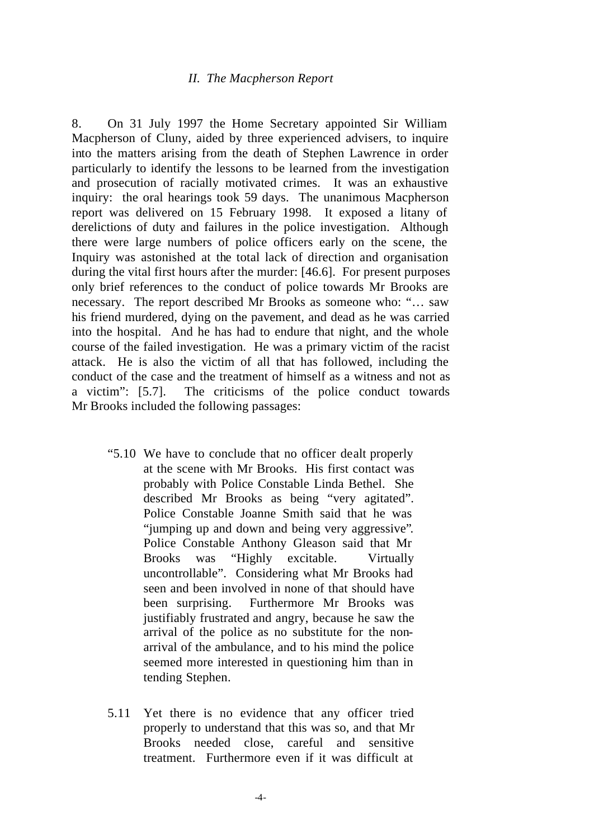#### *II. The Macpherson Report*

8. On 31 July 1997 the Home Secretary appointed Sir William Macpherson of Cluny, aided by three experienced advisers, to inquire into the matters arising from the death of Stephen Lawrence in order particularly to identify the lessons to be learned from the investigation and prosecution of racially motivated crimes. It was an exhaustive inquiry: the oral hearings took 59 days. The unanimous Macpherson report was delivered on 15 February 1998. It exposed a litany of derelictions of duty and failures in the police investigation. Although there were large numbers of police officers early on the scene, the Inquiry was astonished at the total lack of direction and organisation during the vital first hours after the murder: [46.6]. For present purposes only brief references to the conduct of police towards Mr Brooks are necessary. The report described Mr Brooks as someone who: "… saw his friend murdered, dying on the pavement, and dead as he was carried into the hospital. And he has had to endure that night, and the whole course of the failed investigation. He was a primary victim of the racist attack. He is also the victim of all that has followed, including the conduct of the case and the treatment of himself as a witness and not as a victim": [5.7]. The criticisms of the police conduct towards Mr Brooks included the following passages:

- "5.10 We have to conclude that no officer dealt properly at the scene with Mr Brooks. His first contact was probably with Police Constable Linda Bethel. She described Mr Brooks as being "very agitated". Police Constable Joanne Smith said that he was "jumping up and down and being very aggressive". Police Constable Anthony Gleason said that Mr Brooks was "Highly excitable. Virtually uncontrollable". Considering what Mr Brooks had seen and been involved in none of that should have been surprising. Furthermore Mr Brooks was justifiably frustrated and angry, because he saw the arrival of the police as no substitute for the nonarrival of the ambulance, and to his mind the police seemed more interested in questioning him than in tending Stephen.
- 5.11 Yet there is no evidence that any officer tried properly to understand that this was so, and that Mr Brooks needed close, careful and sensitive treatment. Furthermore even if it was difficult at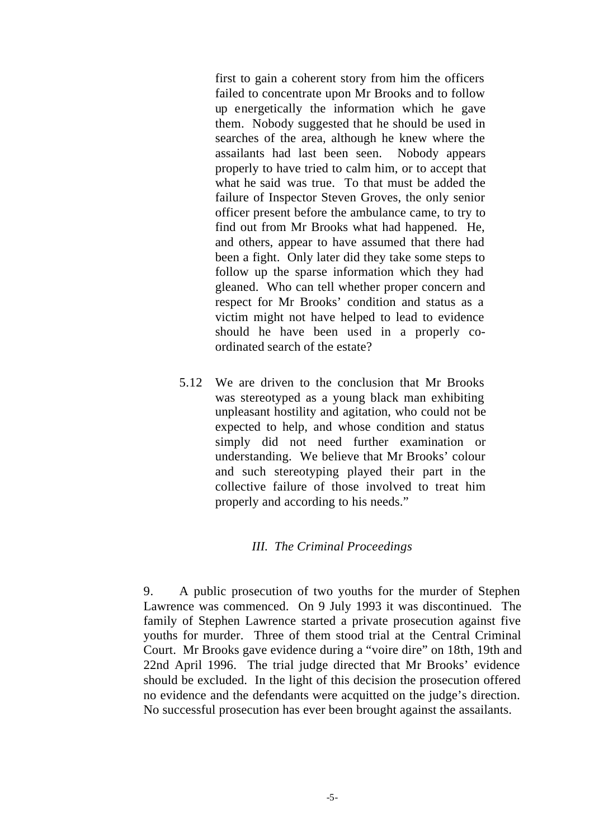first to gain a coherent story from him the officers failed to concentrate upon Mr Brooks and to follow up energetically the information which he gave them. Nobody suggested that he should be used in searches of the area, although he knew where the assailants had last been seen. Nobody appears properly to have tried to calm him, or to accept that what he said was true. To that must be added the failure of Inspector Steven Groves, the only senior officer present before the ambulance came, to try to find out from Mr Brooks what had happened. He, and others, appear to have assumed that there had been a fight. Only later did they take some steps to follow up the sparse information which they had gleaned. Who can tell whether proper concern and respect for Mr Brooks' condition and status as a victim might not have helped to lead to evidence should he have been used in a properly coordinated search of the estate?

5.12 We are driven to the conclusion that Mr Brooks was stereotyped as a young black man exhibiting unpleasant hostility and agitation, who could not be expected to help, and whose condition and status simply did not need further examination or understanding. We believe that Mr Brooks' colour and such stereotyping played their part in the collective failure of those involved to treat him properly and according to his needs."

#### *III. The Criminal Proceedings*

9. A public prosecution of two youths for the murder of Stephen Lawrence was commenced. On 9 July 1993 it was discontinued. The family of Stephen Lawrence started a private prosecution against five youths for murder. Three of them stood trial at the Central Criminal Court. Mr Brooks gave evidence during a "voire dire" on 18th, 19th and 22nd April 1996. The trial judge directed that Mr Brooks' evidence should be excluded. In the light of this decision the prosecution offered no evidence and the defendants were acquitted on the judge's direction. No successful prosecution has ever been brought against the assailants.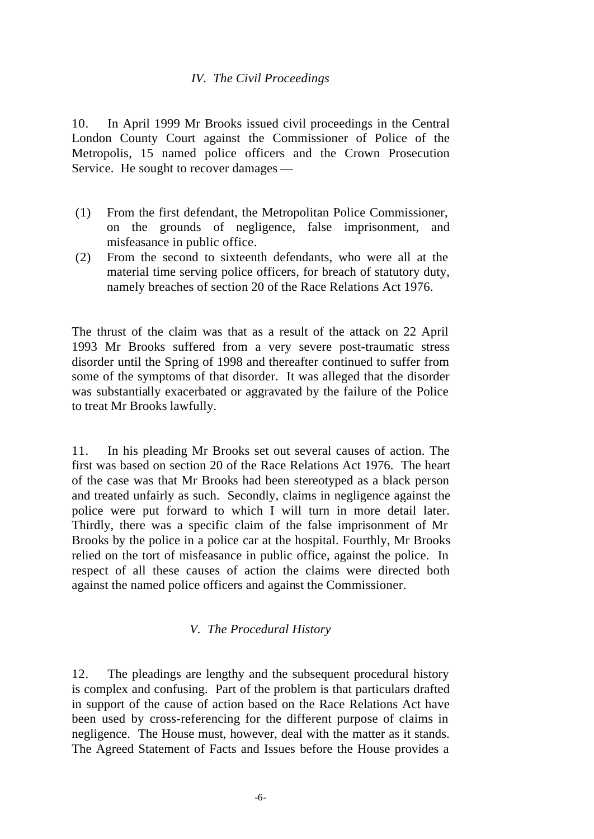#### *IV. The Civil Proceedings*

10. In April 1999 Mr Brooks issued civil proceedings in the Central London County Court against the Commissioner of Police of the Metropolis, 15 named police officers and the Crown Prosecution Service. He sought to recover damages —

- (1) From the first defendant, the Metropolitan Police Commissioner, on the grounds of negligence, false imprisonment, and misfeasance in public office.
- (2) From the second to sixteenth defendants, who were all at the material time serving police officers, for breach of statutory duty, namely breaches of section 20 of the Race Relations Act 1976.

The thrust of the claim was that as a result of the attack on 22 April 1993 Mr Brooks suffered from a very severe post-traumatic stress disorder until the Spring of 1998 and thereafter continued to suffer from some of the symptoms of that disorder. It was alleged that the disorder was substantially exacerbated or aggravated by the failure of the Police to treat Mr Brooks lawfully.

11. In his pleading Mr Brooks set out several causes of action. The first was based on section 20 of the Race Relations Act 1976. The heart of the case was that Mr Brooks had been stereotyped as a black person and treated unfairly as such. Secondly, claims in negligence against the police were put forward to which I will turn in more detail later. Thirdly, there was a specific claim of the false imprisonment of Mr Brooks by the police in a police car at the hospital. Fourthly, Mr Brooks relied on the tort of misfeasance in public office, against the police. In respect of all these causes of action the claims were directed both against the named police officers and against the Commissioner.

#### *V. The Procedural History*

12. The pleadings are lengthy and the subsequent procedural history is complex and confusing. Part of the problem is that particulars drafted in support of the cause of action based on the Race Relations Act have been used by cross-referencing for the different purpose of claims in negligence. The House must, however, deal with the matter as it stands. The Agreed Statement of Facts and Issues before the House provides a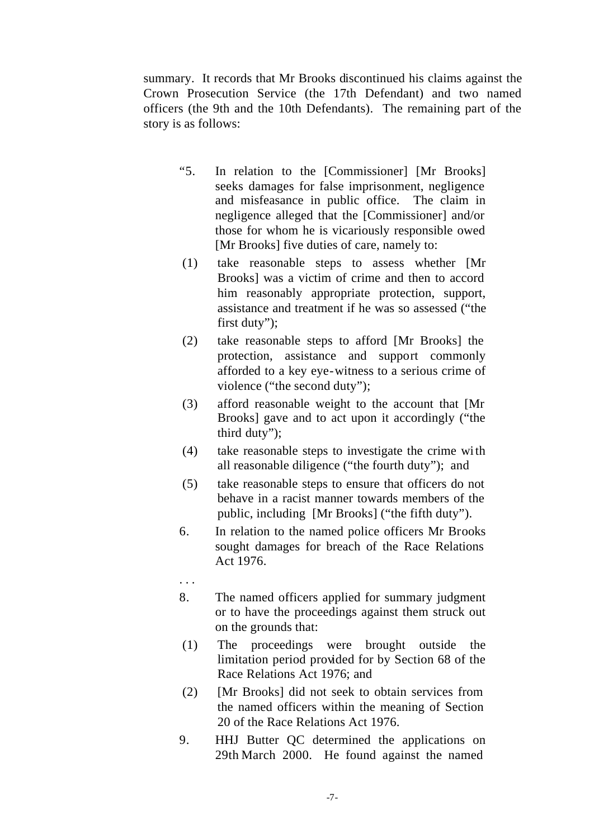summary. It records that Mr Brooks discontinued his claims against the Crown Prosecution Service (the 17th Defendant) and two named officers (the 9th and the 10th Defendants). The remaining part of the story is as follows:

- "5. In relation to the [Commissioner] [Mr Brooks] seeks damages for false imprisonment, negligence and misfeasance in public office. The claim in negligence alleged that the [Commissioner] and/or those for whom he is vicariously responsible owed [Mr Brooks] five duties of care, namely to:
- (1) take reasonable steps to assess whether [Mr Brooks] was a victim of crime and then to accord him reasonably appropriate protection, support, assistance and treatment if he was so assessed ("the first duty":
- (2) take reasonable steps to afford [Mr Brooks] the protection, assistance and support commonly afforded to a key eye-witness to a serious crime of violence ("the second duty");
- (3) afford reasonable weight to the account that [Mr Brooks] gave and to act upon it accordingly ("the third duty");
- (4) take reasonable steps to investigate the crime with all reasonable diligence ("the fourth duty"); and
- (5) take reasonable steps to ensure that officers do not behave in a racist manner towards members of the public, including [Mr Brooks] ("the fifth duty").
- 6. In relation to the named police officers Mr Brooks sought damages for breach of the Race Relations Act 1976.
- . . .
- 8. The named officers applied for summary judgment or to have the proceedings against them struck out on the grounds that:
- (1) The proceedings were brought outside the limitation period provided for by Section 68 of the Race Relations Act 1976; and
- (2) [Mr Brooks] did not seek to obtain services from the named officers within the meaning of Section 20 of the Race Relations Act 1976.
- 9. HHJ Butter QC determined the applications on 29th March 2000. He found against the named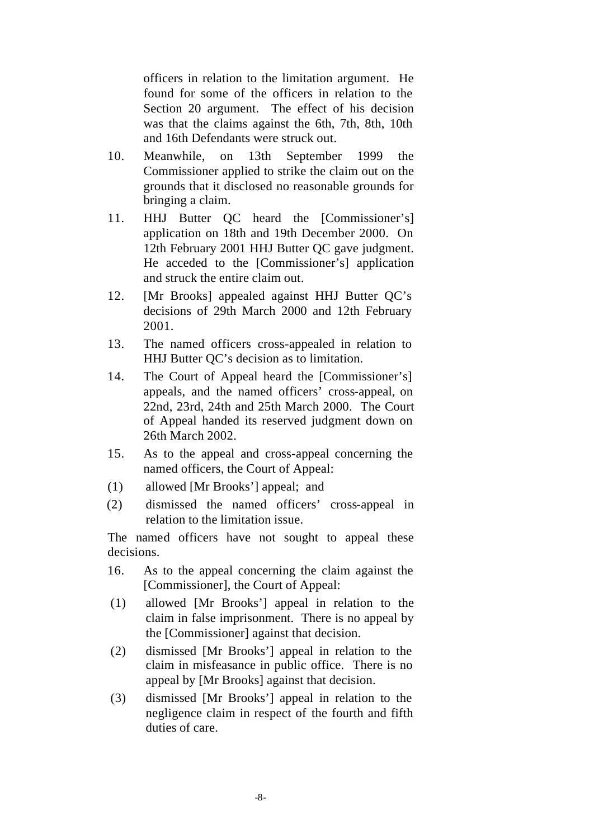officers in relation to the limitation argument. He found for some of the officers in relation to the Section 20 argument. The effect of his decision was that the claims against the 6th, 7th, 8th, 10th and 16th Defendants were struck out.

- 10. Meanwhile, on 13th September 1999 the Commissioner applied to strike the claim out on the grounds that it disclosed no reasonable grounds for bringing a claim.
- 11. HHJ Butter QC heard the [Commissioner's] application on 18th and 19th December 2000. On 12th February 2001 HHJ Butter QC gave judgment. He acceded to the [Commissioner's] application and struck the entire claim out.
- 12. [Mr Brooks] appealed against HHJ Butter QC's decisions of 29th March 2000 and 12th February 2001.
- 13. The named officers cross-appealed in relation to HHJ Butter QC's decision as to limitation.
- 14. The Court of Appeal heard the [Commissioner's] appeals, and the named officers' cross-appeal, on 22nd, 23rd, 24th and 25th March 2000. The Court of Appeal handed its reserved judgment down on 26th March 2002.
- 15. As to the appeal and cross-appeal concerning the named officers, the Court of Appeal:
- (1) allowed [Mr Brooks'] appeal; and
- (2) dismissed the named officers' cross-appeal in relation to the limitation issue.

The named officers have not sought to appeal these decisions.

- 16. As to the appeal concerning the claim against the [Commissioner], the Court of Appeal:
- (1) allowed [Mr Brooks'] appeal in relation to the claim in false imprisonment. There is no appeal by the [Commissioner] against that decision.
- (2) dismissed [Mr Brooks'] appeal in relation to the claim in misfeasance in public office. There is no appeal by [Mr Brooks] against that decision.
- (3) dismissed [Mr Brooks'] appeal in relation to the negligence claim in respect of the fourth and fifth duties of care.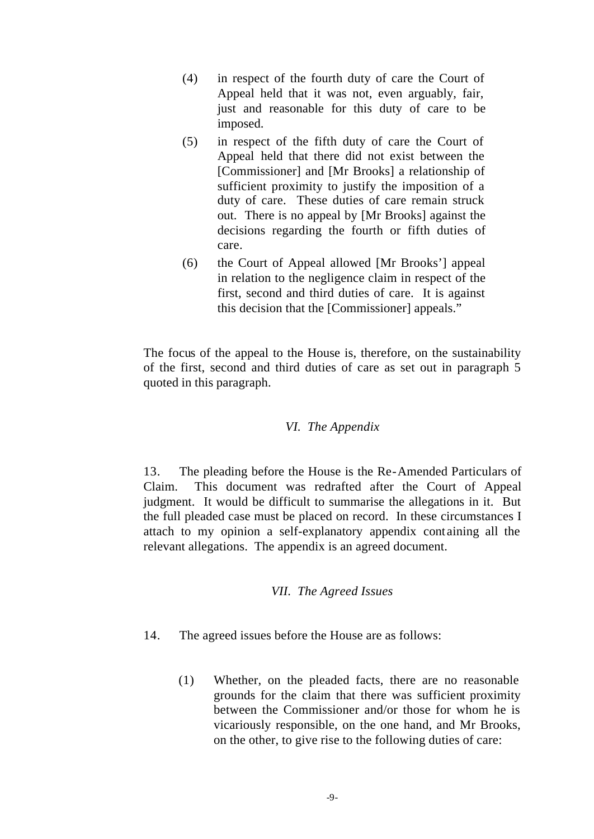- (4) in respect of the fourth duty of care the Court of Appeal held that it was not, even arguably, fair, just and reasonable for this duty of care to be imposed.
- (5) in respect of the fifth duty of care the Court of Appeal held that there did not exist between the [Commissioner] and [Mr Brooks] a relationship of sufficient proximity to justify the imposition of a duty of care. These duties of care remain struck out. There is no appeal by [Mr Brooks] against the decisions regarding the fourth or fifth duties of care.
- (6) the Court of Appeal allowed [Mr Brooks'] appeal in relation to the negligence claim in respect of the first, second and third duties of care. It is against this decision that the [Commissioner] appeals."

The focus of the appeal to the House is, therefore, on the sustainability of the first, second and third duties of care as set out in paragraph 5 quoted in this paragraph.

## *VI. The Appendix*

13. The pleading before the House is the Re-Amended Particulars of Claim. This document was redrafted after the Court of Appeal judgment. It would be difficult to summarise the allegations in it. But the full pleaded case must be placed on record. In these circumstances I attach to my opinion a self-explanatory appendix cont aining all the relevant allegations. The appendix is an agreed document.

#### *VII. The Agreed Issues*

- 14. The agreed issues before the House are as follows:
	- (1) Whether, on the pleaded facts, there are no reasonable grounds for the claim that there was sufficient proximity between the Commissioner and/or those for whom he is vicariously responsible, on the one hand, and Mr Brooks, on the other, to give rise to the following duties of care: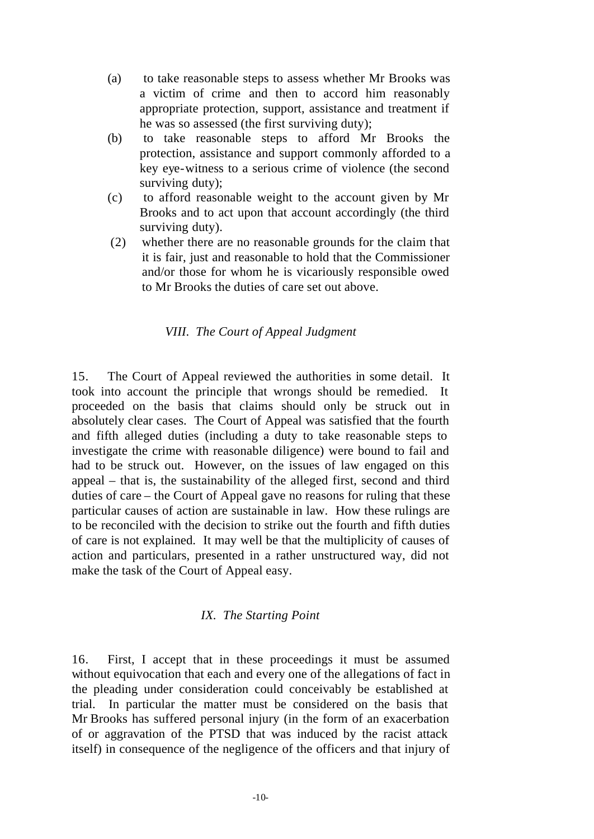- (a) to take reasonable steps to assess whether Mr Brooks was a victim of crime and then to accord him reasonably appropriate protection, support, assistance and treatment if he was so assessed (the first surviving duty);
- (b) to take reasonable steps to afford Mr Brooks the protection, assistance and support commonly afforded to a key eye-witness to a serious crime of violence (the second surviving duty);
- (c) to afford reasonable weight to the account given by Mr Brooks and to act upon that account accordingly (the third surviving duty).
- (2) whether there are no reasonable grounds for the claim that it is fair, just and reasonable to hold that the Commissioner and/or those for whom he is vicariously responsible owed to Mr Brooks the duties of care set out above.

## *VIII. The Court of Appeal Judgment*

15. The Court of Appeal reviewed the authorities in some detail. It took into account the principle that wrongs should be remedied. It proceeded on the basis that claims should only be struck out in absolutely clear cases. The Court of Appeal was satisfied that the fourth and fifth alleged duties (including a duty to take reasonable steps to investigate the crime with reasonable diligence) were bound to fail and had to be struck out. However, on the issues of law engaged on this appeal – that is, the sustainability of the alleged first, second and third duties of care – the Court of Appeal gave no reasons for ruling that these particular causes of action are sustainable in law. How these rulings are to be reconciled with the decision to strike out the fourth and fifth duties of care is not explained. It may well be that the multiplicity of causes of action and particulars, presented in a rather unstructured way, did not make the task of the Court of Appeal easy.

#### *IX. The Starting Point*

16. First, I accept that in these proceedings it must be assumed without equivocation that each and every one of the allegations of fact in the pleading under consideration could conceivably be established at trial. In particular the matter must be considered on the basis that Mr Brooks has suffered personal injury (in the form of an exacerbation of or aggravation of the PTSD that was induced by the racist attack itself) in consequence of the negligence of the officers and that injury of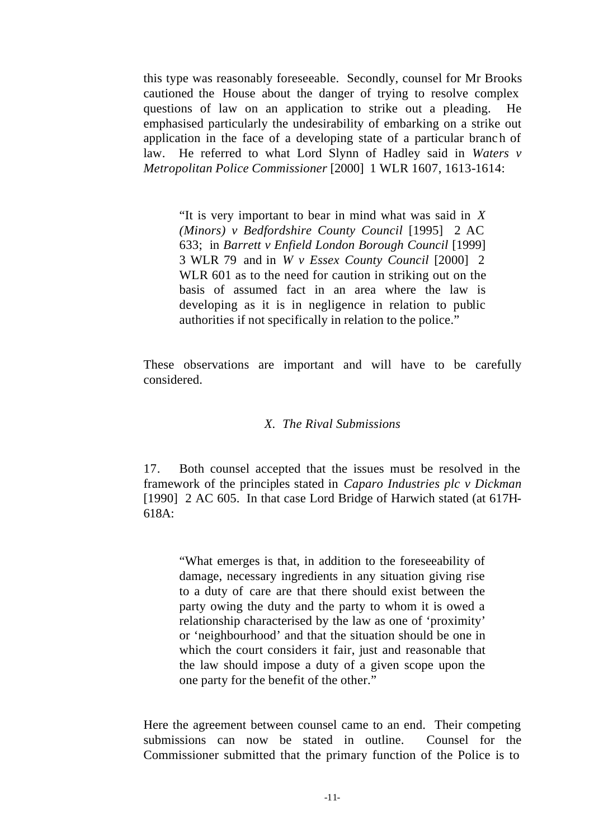this type was reasonably foreseeable. Secondly, counsel for Mr Brooks cautioned the House about the danger of trying to resolve complex questions of law on an application to strike out a pleading. He emphasised particularly the undesirability of embarking on a strike out application in the face of a developing state of a particular branch of law. He referred to what Lord Slynn of Hadley said in *Waters v Metropolitan Police Commissioner* [2000] 1 WLR 1607, 1613-1614:

"It is very important to bear in mind what was said in *X (Minors) v Bedfordshire County Council* [1995] 2 AC 633; in *Barrett v Enfield London Borough Council* [1999] 3 WLR 79 and in *W v Essex County Council* [2000] 2 WLR 601 as to the need for caution in striking out on the basis of assumed fact in an area where the law is developing as it is in negligence in relation to public authorities if not specifically in relation to the police."

These observations are important and will have to be carefully considered.

#### *X. The Rival Submissions*

17. Both counsel accepted that the issues must be resolved in the framework of the principles stated in *Caparo Industries plc v Dickman* [1990] 2 AC 605. In that case Lord Bridge of Harwich stated (at 617H-618A:

"What emerges is that, in addition to the foreseeability of damage, necessary ingredients in any situation giving rise to a duty of care are that there should exist between the party owing the duty and the party to whom it is owed a relationship characterised by the law as one of 'proximity' or 'neighbourhood' and that the situation should be one in which the court considers it fair, just and reasonable that the law should impose a duty of a given scope upon the one party for the benefit of the other."

Here the agreement between counsel came to an end. Their competing submissions can now be stated in outline. Counsel for the Commissioner submitted that the primary function of the Police is to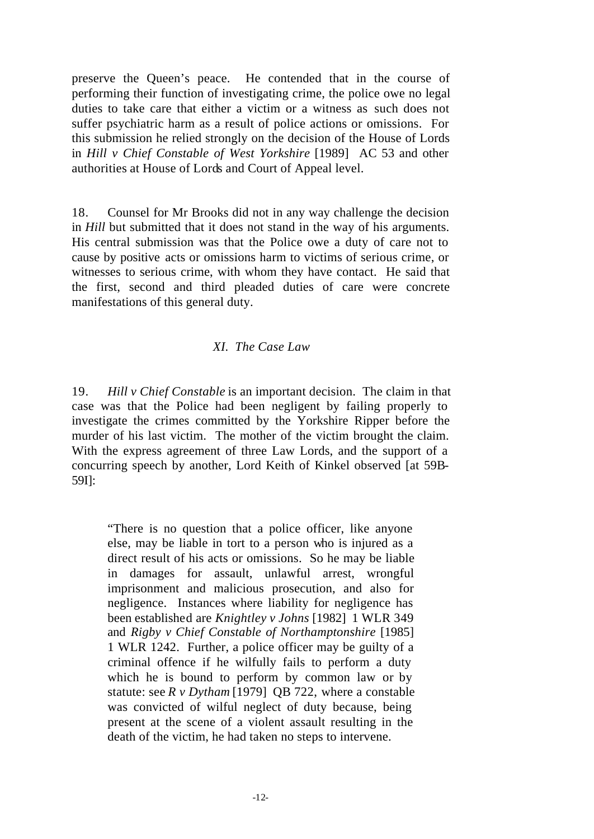preserve the Queen's peace. He contended that in the course of performing their function of investigating crime, the police owe no legal duties to take care that either a victim or a witness as such does not suffer psychiatric harm as a result of police actions or omissions. For this submission he relied strongly on the decision of the House of Lords in *Hill v Chief Constable of West Yorkshire* [1989] AC 53 and other authorities at House of Lords and Court of Appeal level.

18. Counsel for Mr Brooks did not in any way challenge the decision in *Hill* but submitted that it does not stand in the way of his arguments. His central submission was that the Police owe a duty of care not to cause by positive acts or omissions harm to victims of serious crime, or witnesses to serious crime, with whom they have contact. He said that the first, second and third pleaded duties of care were concrete manifestations of this general duty.

#### *XI. The Case Law*

19. *Hill v Chief Constable* is an important decision. The claim in that case was that the Police had been negligent by failing properly to investigate the crimes committed by the Yorkshire Ripper before the murder of his last victim. The mother of the victim brought the claim. With the express agreement of three Law Lords, and the support of a concurring speech by another, Lord Keith of Kinkel observed [at 59B-59I]:

"There is no question that a police officer, like anyone else, may be liable in tort to a person who is injured as a direct result of his acts or omissions. So he may be liable in damages for assault, unlawful arrest, wrongful imprisonment and malicious prosecution, and also for negligence. Instances where liability for negligence has been established are *Knightley v Johns* [1982] 1 WLR 349 and *Rigby v Chief Constable of Northamptonshire* [1985] 1 WLR 1242. Further, a police officer may be guilty of a criminal offence if he wilfully fails to perform a duty which he is bound to perform by common law or by statute: see *R v Dytham* [1979] QB 722, where a constable was convicted of wilful neglect of duty because, being present at the scene of a violent assault resulting in the death of the victim, he had taken no steps to intervene.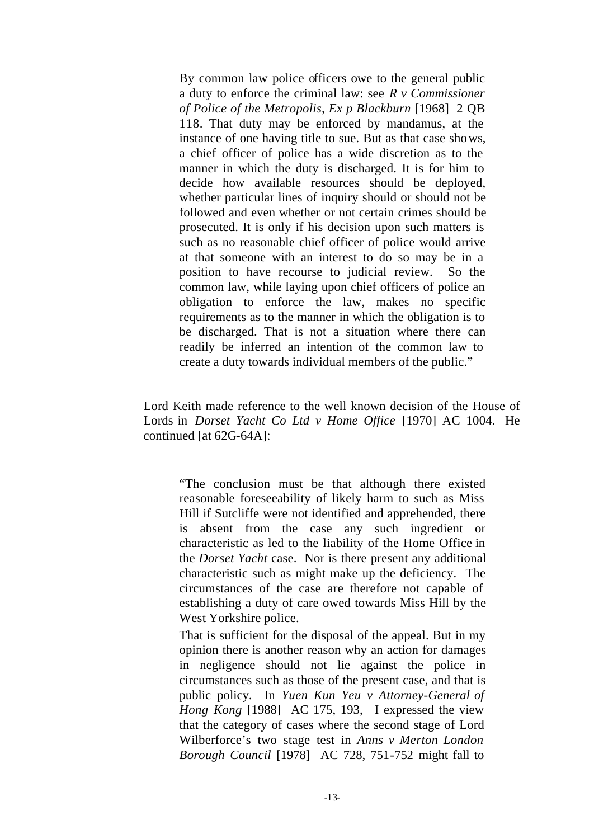By common law police officers owe to the general public a duty to enforce the criminal law: see *R v Commissioner of Police of the Metropolis, Ex p Blackburn* [1968] 2 QB 118. That duty may be enforced by mandamus, at the instance of one having title to sue. But as that case shows, a chief officer of police has a wide discretion as to the manner in which the duty is discharged. It is for him to decide how available resources should be deployed, whether particular lines of inquiry should or should not be followed and even whether or not certain crimes should be prosecuted. It is only if his decision upon such matters is such as no reasonable chief officer of police would arrive at that someone with an interest to do so may be in a position to have recourse to judicial review. So the common law, while laying upon chief officers of police an obligation to enforce the law, makes no specific requirements as to the manner in which the obligation is to be discharged. That is not a situation where there can readily be inferred an intention of the common law to create a duty towards individual members of the public."

Lord Keith made reference to the well known decision of the House of Lords in *Dorset Yacht Co Ltd v Home Office* [1970] AC 1004. He continued [at 62G-64A]:

"The conclusion must be that although there existed reasonable foreseeability of likely harm to such as Miss Hill if Sutcliffe were not identified and apprehended, there is absent from the case any such ingredient or characteristic as led to the liability of the Home Office in the *Dorset Yacht* case. Nor is there present any additional characteristic such as might make up the deficiency. The circumstances of the case are therefore not capable of establishing a duty of care owed towards Miss Hill by the West Yorkshire police.

That is sufficient for the disposal of the appeal. But in my opinion there is another reason why an action for damages in negligence should not lie against the police in circumstances such as those of the present case, and that is public policy. In *Yuen Kun Yeu v Attorney-General of Hong Kong* [1988] AC 175, 193, I expressed the view that the category of cases where the second stage of Lord Wilberforce's two stage test in *Anns v Merton London Borough Council* [1978] AC 728, 751-752 might fall to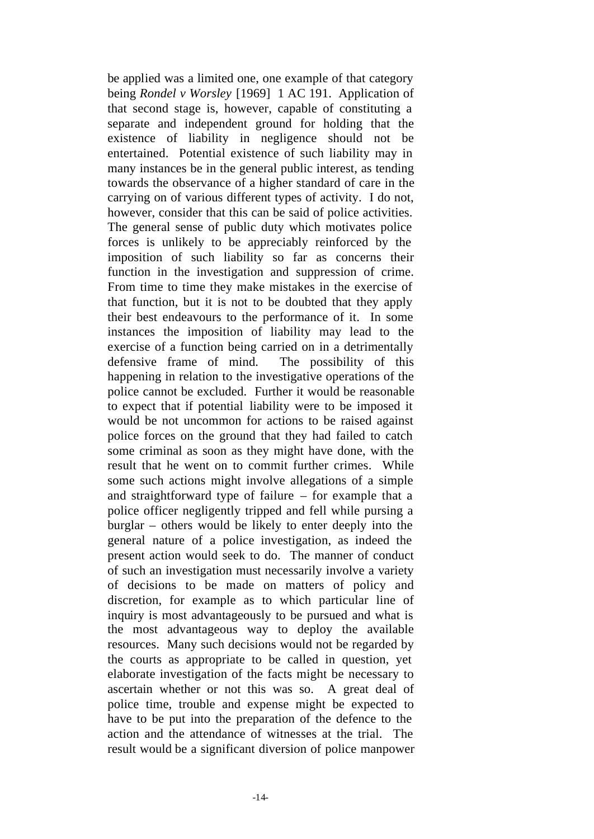be applied was a limited one, one example of that category being *Rondel v Worsley* [1969] 1 AC 191. Application of that second stage is, however, capable of constituting a separate and independent ground for holding that the existence of liability in negligence should not be entertained. Potential existence of such liability may in many instances be in the general public interest, as tending towards the observance of a higher standard of care in the carrying on of various different types of activity. I do not, however, consider that this can be said of police activities. The general sense of public duty which motivates police forces is unlikely to be appreciably reinforced by the imposition of such liability so far as concerns their function in the investigation and suppression of crime. From time to time they make mistakes in the exercise of that function, but it is not to be doubted that they apply their best endeavours to the performance of it. In some instances the imposition of liability may lead to the exercise of a function being carried on in a detrimentally defensive frame of mind. The possibility of this happening in relation to the investigative operations of the police cannot be excluded. Further it would be reasonable to expect that if potential liability were to be imposed it would be not uncommon for actions to be raised against police forces on the ground that they had failed to catch some criminal as soon as they might have done, with the result that he went on to commit further crimes. While some such actions might involve allegations of a simple and straightforward type of failure – for example that a police officer negligently tripped and fell while pursing a burglar – others would be likely to enter deeply into the general nature of a police investigation, as indeed the present action would seek to do. The manner of conduct of such an investigation must necessarily involve a variety of decisions to be made on matters of policy and discretion, for example as to which particular line of inquiry is most advantageously to be pursued and what is the most advantageous way to deploy the available resources. Many such decisions would not be regarded by the courts as appropriate to be called in question, yet elaborate investigation of the facts might be necessary to ascertain whether or not this was so. A great deal of police time, trouble and expense might be expected to have to be put into the preparation of the defence to the action and the attendance of witnesses at the trial. The result would be a significant diversion of police manpower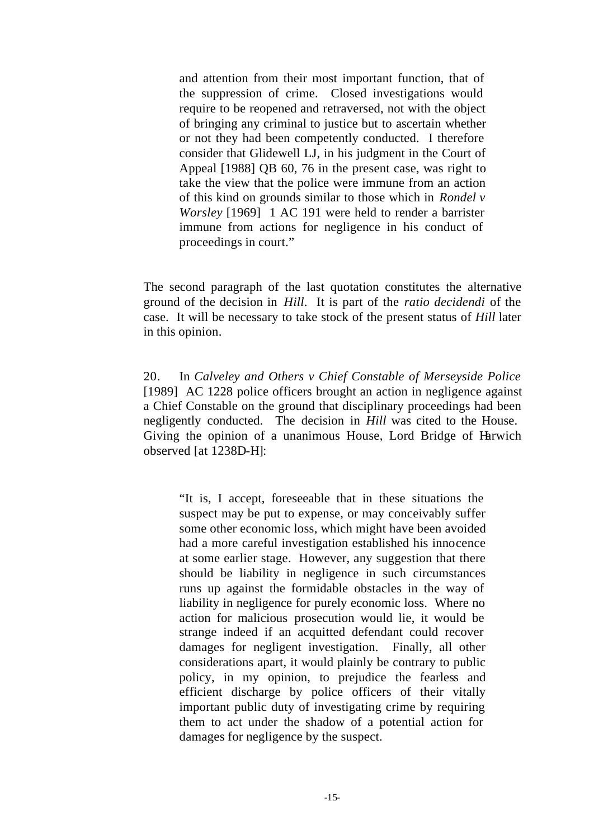and attention from their most important function, that of the suppression of crime. Closed investigations would require to be reopened and retraversed, not with the object of bringing any criminal to justice but to ascertain whether or not they had been competently conducted. I therefore consider that Glidewell LJ, in his judgment in the Court of Appeal [1988] QB 60, 76 in the present case, was right to take the view that the police were immune from an action of this kind on grounds similar to those which in *Rondel v Worsley* [1969] 1 AC 191 were held to render a barrister immune from actions for negligence in his conduct of proceedings in court."

The second paragraph of the last quotation constitutes the alternative ground of the decision in *Hill*. It is part of the *ratio decidendi* of the case. It will be necessary to take stock of the present status of *Hill* later in this opinion.

20. In *Calveley and Others v Chief Constable of Merseyside Police* [1989] AC 1228 police officers brought an action in negligence against a Chief Constable on the ground that disciplinary proceedings had been negligently conducted. The decision in *Hill* was cited to the House. Giving the opinion of a unanimous House, Lord Bridge of Harwich observed [at 1238D-H]:

"It is, I accept, foreseeable that in these situations the suspect may be put to expense, or may conceivably suffer some other economic loss, which might have been avoided had a more careful investigation established his innocence at some earlier stage. However, any suggestion that there should be liability in negligence in such circumstances runs up against the formidable obstacles in the way of liability in negligence for purely economic loss. Where no action for malicious prosecution would lie, it would be strange indeed if an acquitted defendant could recover damages for negligent investigation. Finally, all other considerations apart, it would plainly be contrary to public policy, in my opinion, to prejudice the fearless and efficient discharge by police officers of their vitally important public duty of investigating crime by requiring them to act under the shadow of a potential action for damages for negligence by the suspect.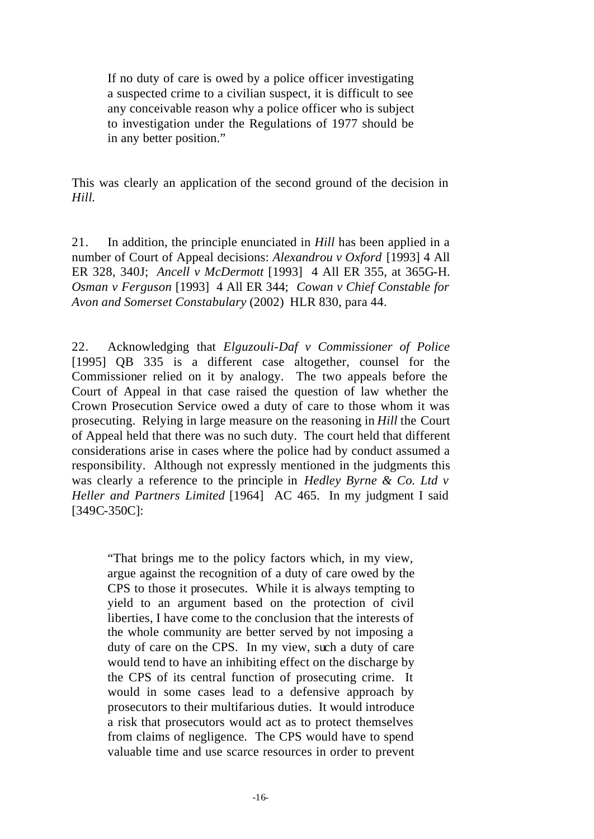If no duty of care is owed by a police officer investigating a suspected crime to a civilian suspect, it is difficult to see any conceivable reason why a police officer who is subject to investigation under the Regulations of 1977 should be in any better position."

This was clearly an application of the second ground of the decision in *Hill.*

21. In addition, the principle enunciated in *Hill* has been applied in a number of Court of Appeal decisions: *Alexandrou v Oxford* [1993] 4 All ER 328, 340J; *Ancell v McDermott* [1993] 4 All ER 355, at 365G-H. *Osman v Ferguson* [1993] 4 All ER 344; *Cowan v Chief Constable for Avon and Somerset Constabulary* (2002) HLR 830, para 44.

22. Acknowledging that *Elguzouli-Daf v Commissioner of Police* [1995] QB 335 is a different case altogether, counsel for the Commissioner relied on it by analogy. The two appeals before the Court of Appeal in that case raised the question of law whether the Crown Prosecution Service owed a duty of care to those whom it was prosecuting. Relying in large measure on the reasoning in *Hill* the Court of Appeal held that there was no such duty. The court held that different considerations arise in cases where the police had by conduct assumed a responsibility. Although not expressly mentioned in the judgments this was clearly a reference to the principle in *Hedley Byrne & Co. Ltd v Heller and Partners Limited* [1964] AC 465. In my judgment I said [349C-350C]:

"That brings me to the policy factors which, in my view, argue against the recognition of a duty of care owed by the CPS to those it prosecutes. While it is always tempting to yield to an argument based on the protection of civil liberties, I have come to the conclusion that the interests of the whole community are better served by not imposing a duty of care on the CPS. In my view, such a duty of care would tend to have an inhibiting effect on the discharge by the CPS of its central function of prosecuting crime. It would in some cases lead to a defensive approach by prosecutors to their multifarious duties. It would introduce a risk that prosecutors would act as to protect themselves from claims of negligence. The CPS would have to spend valuable time and use scarce resources in order to prevent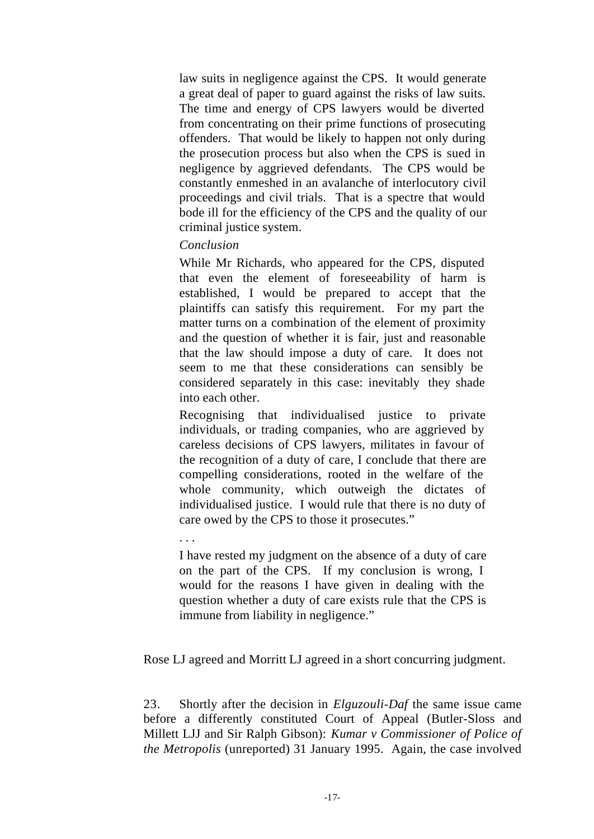law suits in negligence against the CPS. It would generate a great deal of paper to guard against the risks of law suits. The time and energy of CPS lawyers would be diverted from concentrating on their prime functions of prosecuting offenders. That would be likely to happen not only during the prosecution process but also when the CPS is sued in negligence by aggrieved defendants. The CPS would be constantly enmeshed in an avalanche of interlocutory civil proceedings and civil trials. That is a spectre that would bode ill for the efficiency of the CPS and the quality of our criminal justice system.

#### *Conclusion*

While Mr Richards, who appeared for the CPS, disputed that even the element of foreseeability of harm is established, I would be prepared to accept that the plaintiffs can satisfy this requirement. For my part the matter turns on a combination of the element of proximity and the question of whether it is fair, just and reasonable that the law should impose a duty of care. It does not seem to me that these considerations can sensibly be considered separately in this case: inevitably they shade into each other.

Recognising that individualised justice to private individuals, or trading companies, who are aggrieved by careless decisions of CPS lawyers, militates in favour of the recognition of a duty of care, I conclude that there are compelling considerations, rooted in the welfare of the whole community, which outweigh the dictates of individualised justice. I would rule that there is no duty of care owed by the CPS to those it prosecutes."

. . .

I have rested my judgment on the absence of a duty of care on the part of the CPS. If my conclusion is wrong, I would for the reasons I have given in dealing with the question whether a duty of care exists rule that the CPS is immune from liability in negligence."

Rose LJ agreed and Morritt LJ agreed in a short concurring judgment.

23. Shortly after the decision in *Elguzouli-Daf* the same issue came before a differently constituted Court of Appeal (Butler-Sloss and Millett LJJ and Sir Ralph Gibson): *Kumar v Commissioner of Police of the Metropolis* (unreported) 31 January 1995. Again, the case involved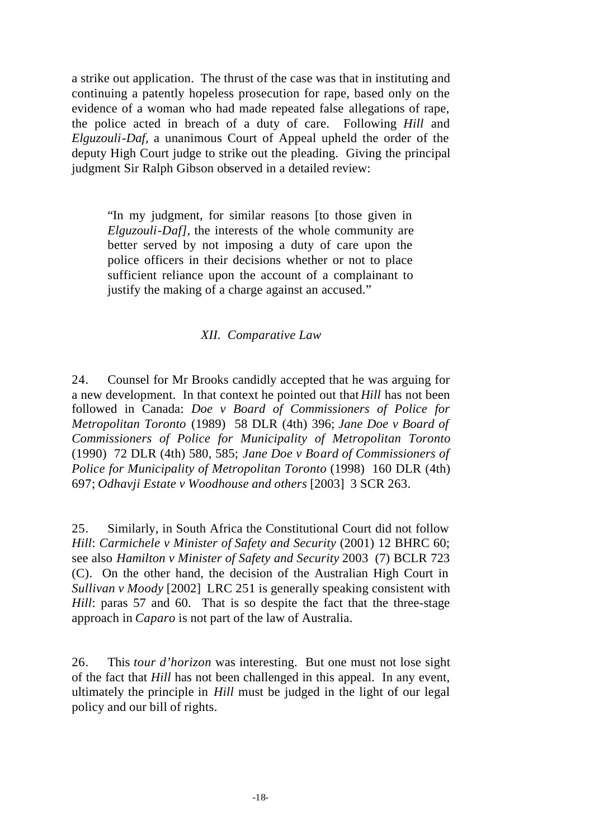a strike out application. The thrust of the case was that in instituting and continuing a patently hopeless prosecution for rape, based only on the evidence of a woman who had made repeated false allegations of rape, the police acted in breach of a duty of care. Following *Hill* and *Elguzouli-Daf,* a unanimous Court of Appeal upheld the order of the deputy High Court judge to strike out the pleading. Giving the principal judgment Sir Ralph Gibson observed in a detailed review:

"In my judgment, for similar reasons [to those given in *Elguzouli-Daf],* the interests of the whole community are better served by not imposing a duty of care upon the police officers in their decisions whether or not to place sufficient reliance upon the account of a complainant to justify the making of a charge against an accused."

#### *XII. Comparative Law*

24. Counsel for Mr Brooks candidly accepted that he was arguing for a new development. In that context he pointed out that *Hill* has not been followed in Canada: *Doe v Board of Commissioners of Police for Metropolitan Toronto* (1989) 58 DLR (4th) 396; *Jane Doe v Board of Commissioners of Police for Municipality of Metropolitan Toronto* (1990) 72 DLR (4th) 580, 585; *Jane Doe v Board of Commissioners of Police for Municipality of Metropolitan Toronto* (1998) 160 DLR (4th) 697; *Odhavji Estate v Woodhouse and others* [2003] 3 SCR 263.

25. Similarly, in South Africa the Constitutional Court did not follow *Hill*: *Carmichele v Minister of Safety and Security* (2001) 12 BHRC 60; see also *Hamilton v Minister of Safety and Security* 2003 (7) BCLR 723 (C). On the other hand, the decision of the Australian High Court in *Sullivan v Moody* [2002] LRC 251 is generally speaking consistent with *Hill*: paras 57 and 60. That is so despite the fact that the three-stage approach in *Caparo* is not part of the law of Australia.

26. This *tour d'horizon* was interesting. But one must not lose sight of the fact that *Hill* has not been challenged in this appeal. In any event, ultimately the principle in *Hill* must be judged in the light of our legal policy and our bill of rights.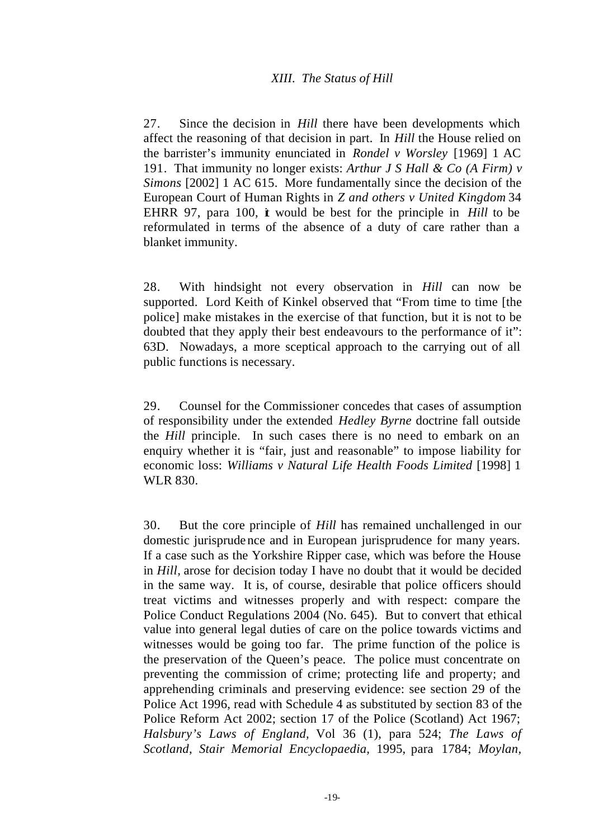#### *XIII. The Status of Hill*

27. Since the decision in *Hill* there have been developments which affect the reasoning of that decision in part. In *Hill* the House relied on the barrister's immunity enunciated in *Rondel v Worsley* [1969] 1 AC 191. That immunity no longer exists: *Arthur J S Hall & Co (A Firm) v Simons* [2002] 1 AC 615. More fundamentally since the decision of the European Court of Human Rights in *Z and others v United Kingdom* 34 EHRR 97, para 100, it would be best for the principle in *Hill* to be reformulated in terms of the absence of a duty of care rather than a blanket immunity.

28. With hindsight not every observation in *Hill* can now be supported. Lord Keith of Kinkel observed that "From time to time [the police] make mistakes in the exercise of that function, but it is not to be doubted that they apply their best endeavours to the performance of it": 63D. Nowadays, a more sceptical approach to the carrying out of all public functions is necessary.

29. Counsel for the Commissioner concedes that cases of assumption of responsibility under the extended *Hedley Byrne* doctrine fall outside the *Hill* principle. In such cases there is no need to embark on an enquiry whether it is "fair, just and reasonable" to impose liability for economic loss: *Williams v Natural Life Health Foods Limited* [1998] 1 WLR 830.

30. But the core principle of *Hill* has remained unchallenged in our domestic jurisprudence and in European jurisprudence for many years. If a case such as the Yorkshire Ripper case, which was before the House in *Hill,* arose for decision today I have no doubt that it would be decided in the same way. It is, of course, desirable that police officers should treat victims and witnesses properly and with respect: compare the Police Conduct Regulations 2004 (No. 645). But to convert that ethical value into general legal duties of care on the police towards victims and witnesses would be going too far. The prime function of the police is the preservation of the Queen's peace. The police must concentrate on preventing the commission of crime; protecting life and property; and apprehending criminals and preserving evidence: see section 29 of the Police Act 1996, read with Schedule 4 as substituted by section 83 of the Police Reform Act 2002; section 17 of the Police (Scotland) Act 1967; *Halsbury's Laws of England,* Vol 36 (1), para 524; *The Laws of Scotland, Stair Memorial Encyclopaedia,* 1995, para 1784; *Moylan,*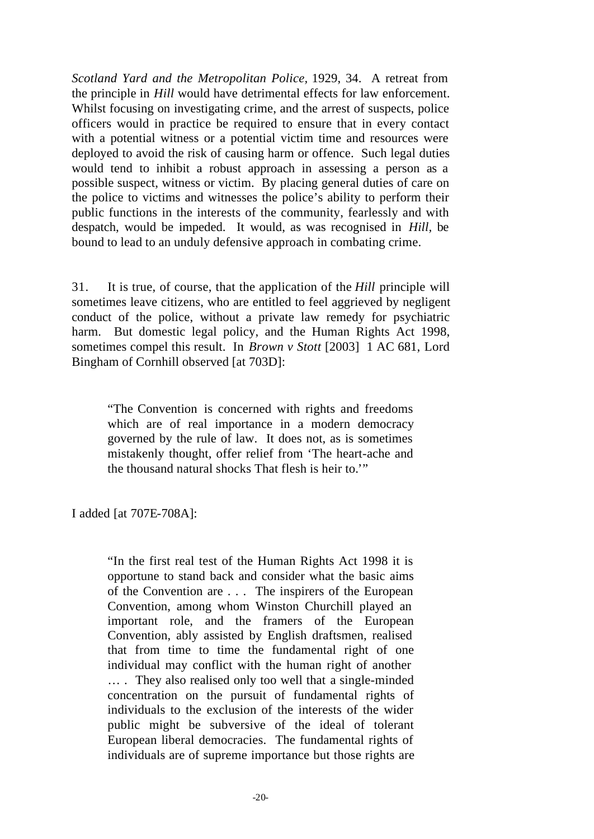*Scotland Yard and the Metropolitan Police,* 1929, 34. A retreat from the principle in *Hill* would have detrimental effects for law enforcement. Whilst focusing on investigating crime, and the arrest of suspects, police officers would in practice be required to ensure that in every contact with a potential witness or a potential victim time and resources were deployed to avoid the risk of causing harm or offence. Such legal duties would tend to inhibit a robust approach in assessing a person as a possible suspect, witness or victim. By placing general duties of care on the police to victims and witnesses the police's ability to perform their public functions in the interests of the community, fearlessly and with despatch, would be impeded. It would, as was recognised in *Hill,* be bound to lead to an unduly defensive approach in combating crime.

31. It is true, of course, that the application of the *Hill* principle will sometimes leave citizens, who are entitled to feel aggrieved by negligent conduct of the police, without a private law remedy for psychiatric harm. But domestic legal policy, and the Human Rights Act 1998, sometimes compel this result. In *Brown v Stott* [2003] 1 AC 681, Lord Bingham of Cornhill observed [at 703D]:

"The Convention is concerned with rights and freedoms which are of real importance in a modern democracy governed by the rule of law. It does not, as is sometimes mistakenly thought, offer relief from 'The heart-ache and the thousand natural shocks That flesh is heir to.'"

I added [at 707E-708A]:

"In the first real test of the Human Rights Act 1998 it is opportune to stand back and consider what the basic aims of the Convention are . . . The inspirers of the European Convention, among whom Winston Churchill played an important role, and the framers of the European Convention, ably assisted by English draftsmen, realised that from time to time the fundamental right of one individual may conflict with the human right of another … . They also realised only too well that a single-minded concentration on the pursuit of fundamental rights of individuals to the exclusion of the interests of the wider public might be subversive of the ideal of tolerant European liberal democracies. The fundamental rights of individuals are of supreme importance but those rights are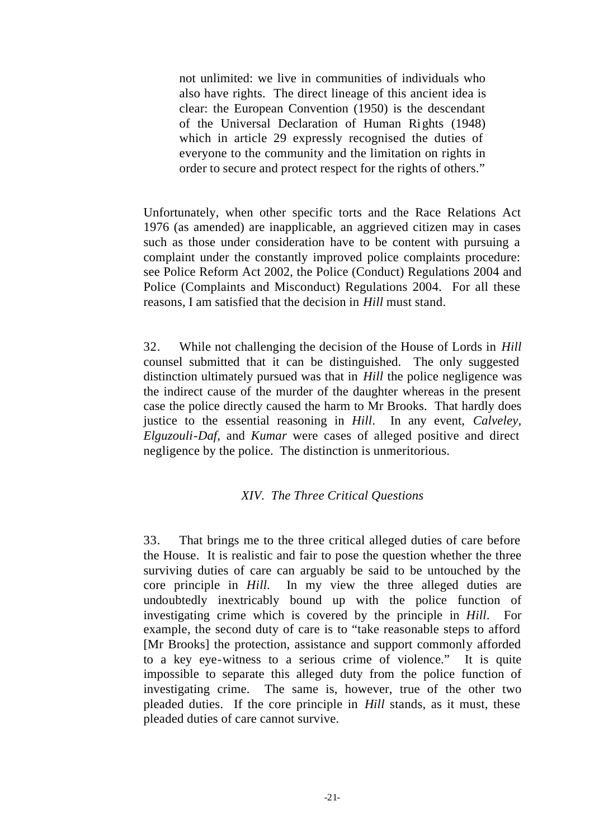not unlimited: we live in communities of individuals who also have rights. The direct lineage of this ancient idea is clear: the European Convention (1950) is the descendant of the Universal Declaration of Human Rights (1948) which in article 29 expressly recognised the duties of everyone to the community and the limitation on rights in order to secure and protect respect for the rights of others."

Unfortunately, when other specific torts and the Race Relations Act 1976 (as amended) are inapplicable, an aggrieved citizen may in cases such as those under consideration have to be content with pursuing a complaint under the constantly improved police complaints procedure: see Police Reform Act 2002, the Police (Conduct) Regulations 2004 and Police (Complaints and Misconduct) Regulations 2004. For all these reasons, I am satisfied that the decision in *Hill* must stand.

32. While not challenging the decision of the House of Lords in *Hill*  counsel submitted that it can be distinguished. The only suggested distinction ultimately pursued was that in *Hill* the police negligence was the indirect cause of the murder of the daughter whereas in the present case the police directly caused the harm to Mr Brooks. That hardly does justice to the essential reasoning in *Hill*. In any event, *Calveley, Elguzouli-Daf,* and *Kumar* were cases of alleged positive and direct negligence by the police. The distinction is unmeritorious.

#### *XIV. The Three Critical Questions*

33. That brings me to the three critical alleged duties of care before the House. It is realistic and fair to pose the question whether the three surviving duties of care can arguably be said to be untouched by the core principle in *Hill.* In my view the three alleged duties are undoubtedly inextricably bound up with the police function of investigating crime which is covered by the principle in *Hill*. For example, the second duty of care is to "take reasonable steps to afford [Mr Brooks] the protection, assistance and support commonly afforded to a key eye-witness to a serious crime of violence." It is quite impossible to separate this alleged duty from the police function of investigating crime. The same is, however, true of the other two pleaded duties. If the core principle in *Hill* stands, as it must, these pleaded duties of care cannot survive.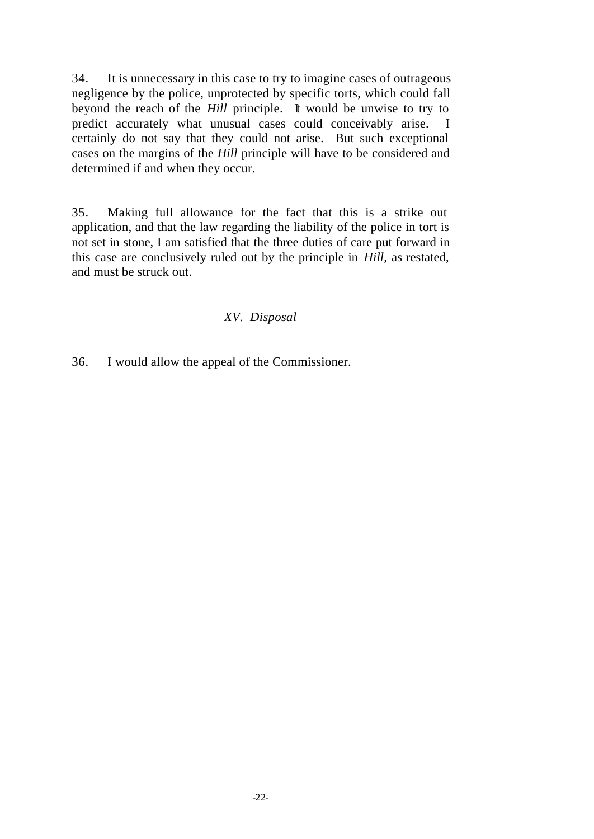34. It is unnecessary in this case to try to imagine cases of outrageous negligence by the police, unprotected by specific torts, which could fall beyond the reach of the *Hill* principle. It would be unwise to try to predict accurately what unusual cases could conceivably arise. I certainly do not say that they could not arise. But such exceptional cases on the margins of the *Hill* principle will have to be considered and determined if and when they occur.

35. Making full allowance for the fact that this is a strike out application, and that the law regarding the liability of the police in tort is not set in stone, I am satisfied that the three duties of care put forward in this case are conclusively ruled out by the principle in *Hill,* as restated, and must be struck out.

## *XV. Disposal*

36. I would allow the appeal of the Commissioner.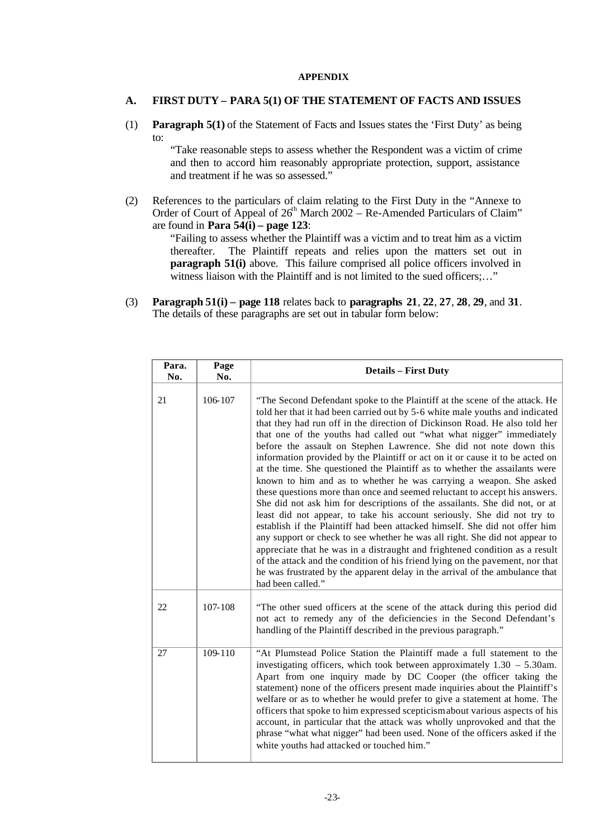#### **APPENDIX**

#### **A. FIRST DUTY – PARA 5(1) OF THE STATEMENT OF FACTS AND ISSUES**

(1) **Paragraph 5(1)** of the Statement of Facts and Issues states the 'First Duty' as being to:

> "Take reasonable steps to assess whether the Respondent was a victim of crime and then to accord him reasonably appropriate protection, support, assistance and treatment if he was so assessed."

(2) References to the particulars of claim relating to the First Duty in the "Annexe to Order of Court of Appeal of  $26<sup>th</sup>$  March 2002 – Re-Amended Particulars of Claim" are found in **Para**  $54(i)$  – **page 123**:

> "Failing to assess whether the Plaintiff was a victim and to treat him as a victim thereafter. The Plaintiff repeats and relies upon the matters set out in **paragraph 51(i)** above. This failure comprised all police officers involved in witness liaison with the Plaintiff and is not limited to the sued officers;..."

(3) **Paragraph 51(i) – page 118** relates back to **paragraphs 21**, **22**, **27**, **28**, **29**, and **31**. The details of these paragraphs are set out in tabular form below:

| Para.<br>No. | Page<br>No. | <b>Details - First Duty</b>                                                                                                                                                                                                                                                                                                                                                                                                                                                                                                                                                                                                                                                                                                                                                                                                                                                                                                                                                                                                                                                                                                                                                                                                                                                                             |
|--------------|-------------|---------------------------------------------------------------------------------------------------------------------------------------------------------------------------------------------------------------------------------------------------------------------------------------------------------------------------------------------------------------------------------------------------------------------------------------------------------------------------------------------------------------------------------------------------------------------------------------------------------------------------------------------------------------------------------------------------------------------------------------------------------------------------------------------------------------------------------------------------------------------------------------------------------------------------------------------------------------------------------------------------------------------------------------------------------------------------------------------------------------------------------------------------------------------------------------------------------------------------------------------------------------------------------------------------------|
| 21           | 106-107     | "The Second Defendant spoke to the Plaintiff at the scene of the attack. He<br>told her that it had been carried out by 5-6 white male youths and indicated<br>that they had run off in the direction of Dickinson Road. He also told her<br>that one of the youths had called out "what what nigger" immediately<br>before the assault on Stephen Lawrence. She did not note down this<br>information provided by the Plaintiff or act on it or cause it to be acted on<br>at the time. She questioned the Plaintiff as to whether the assailants were<br>known to him and as to whether he was carrying a weapon. She asked<br>these questions more than once and seemed reluctant to accept his answers.<br>She did not ask him for descriptions of the assailants. She did not, or at<br>least did not appear, to take his account seriously. She did not try to<br>establish if the Plaintiff had been attacked himself. She did not offer him<br>any support or check to see whether he was all right. She did not appear to<br>appreciate that he was in a distraught and frightened condition as a result<br>of the attack and the condition of his friend lying on the pavement, nor that<br>he was frustrated by the apparent delay in the arrival of the ambulance that<br>had been called." |
| 22           | 107-108     | "The other sued officers at the scene of the attack during this period did<br>not act to remedy any of the deficiencies in the Second Defendant's<br>handling of the Plaintiff described in the previous paragraph."                                                                                                                                                                                                                                                                                                                                                                                                                                                                                                                                                                                                                                                                                                                                                                                                                                                                                                                                                                                                                                                                                    |
| 27           | 109-110     | "At Plumstead Police Station the Plaintiff made a full statement to the<br>investigating officers, which took between approximately $1.30 - 5.30$ am.<br>Apart from one inquiry made by DC Cooper (the officer taking the<br>statement) none of the officers present made inquiries about the Plaintiff's<br>welfare or as to whether he would prefer to give a statement at home. The<br>officers that spoke to him expressed scepticismabout various aspects of his<br>account, in particular that the attack was wholly unprovoked and that the<br>phrase "what what nigger" had been used. None of the officers asked if the<br>white youths had attacked or touched him."                                                                                                                                                                                                                                                                                                                                                                                                                                                                                                                                                                                                                          |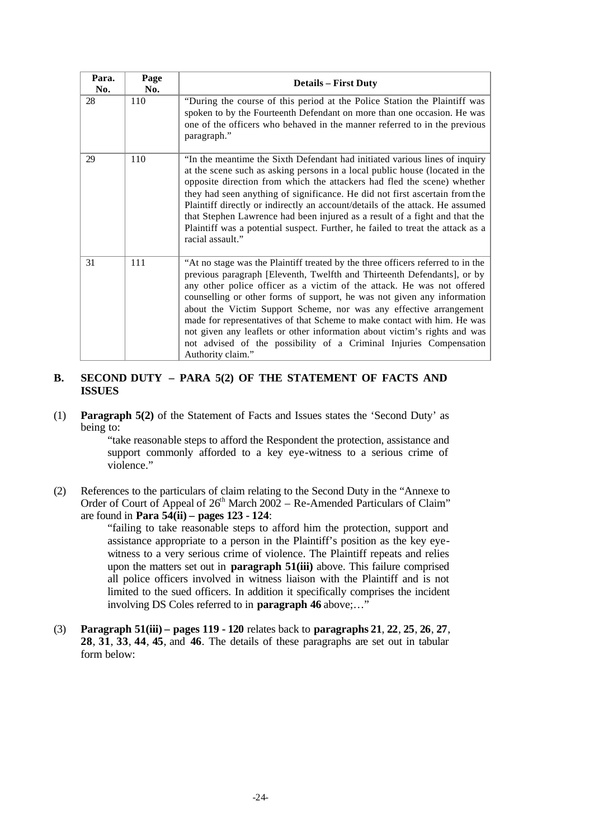| Para.<br>No. | Page<br>No. | <b>Details – First Duty</b>                                                                                                                                                                                                                                                                                                                                                                                                                                                                                                                                                                                                               |
|--------------|-------------|-------------------------------------------------------------------------------------------------------------------------------------------------------------------------------------------------------------------------------------------------------------------------------------------------------------------------------------------------------------------------------------------------------------------------------------------------------------------------------------------------------------------------------------------------------------------------------------------------------------------------------------------|
| 28           | 110         | "During the course of this period at the Police Station the Plaintiff was<br>spoken to by the Fourteenth Defendant on more than one occasion. He was<br>one of the officers who behaved in the manner referred to in the previous<br>paragraph."                                                                                                                                                                                                                                                                                                                                                                                          |
| 29           | 110         | "In the meantime the Sixth Defendant had initiated various lines of inquiry<br>at the scene such as asking persons in a local public house (located in the<br>opposite direction from which the attackers had fled the scene) whether<br>they had seen anything of significance. He did not first ascertain from the<br>Plaintiff directly or indirectly an account/details of the attack. He assumed<br>that Stephen Lawrence had been injured as a result of a fight and that the<br>Plaintiff was a potential suspect. Further, he failed to treat the attack as a<br>racial assault."                                                 |
| 31           | 111         | "At no stage was the Plaintiff treated by the three officers referred to in the<br>previous paragraph [Eleventh, Twelfth and Thirteenth Defendants], or by<br>any other police officer as a victim of the attack. He was not offered<br>counselling or other forms of support, he was not given any information<br>about the Victim Support Scheme, nor was any effective arrangement<br>made for representatives of that Scheme to make contact with him. He was<br>not given any leaflets or other information about victim's rights and was<br>not advised of the possibility of a Criminal Injuries Compensation<br>Authority claim." |

#### **B. SECOND DUTY – PARA 5(2) OF THE STATEMENT OF FACTS AND ISSUES**

(1) **Paragraph 5(2)** of the Statement of Facts and Issues states the 'Second Duty' as being to:

"take reasonable steps to afford the Respondent the protection, assistance and support commonly afforded to a key eye-witness to a serious crime of violence."

(2) References to the particulars of claim relating to the Second Duty in the "Annexe to Order of Court of Appeal of  $26<sup>th</sup>$  March  $2002$  – Re-Amended Particulars of Claim" are found in **Para 54(ii) – pages 123 - 124**:

> "failing to take reasonable steps to afford him the protection, support and assistance appropriate to a person in the Plaintiff's position as the key eyewitness to a very serious crime of violence. The Plaintiff repeats and relies upon the matters set out in **paragraph 51(iii)** above. This failure comprised all police officers involved in witness liaison with the Plaintiff and is not limited to the sued officers. In addition it specifically comprises the incident involving DS Coles referred to in **paragraph 46** above;…"

(3) **Paragraph 51(iii) – pages 119 - 120** relates back to **paragraphs 21**, **22**, **25**, **26**, **27**, **28**, **31**, **33**, **44**, **45**, and **46**. The details of these paragraphs are set out in tabular form below: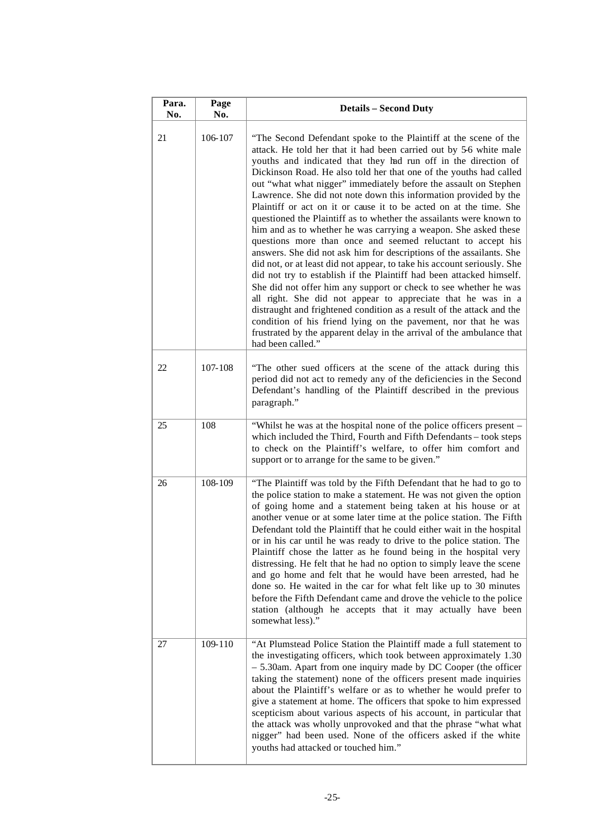| Para.<br>No. | Page<br>No. | <b>Details - Second Duty</b>                                                                                                                                                                                                                                                                                                                                                                                                                                                                                                                                                                                                                                                                                                                                                                                                                                                                                                                                                                                                                                                                                                                                                                                                                                                                                  |
|--------------|-------------|---------------------------------------------------------------------------------------------------------------------------------------------------------------------------------------------------------------------------------------------------------------------------------------------------------------------------------------------------------------------------------------------------------------------------------------------------------------------------------------------------------------------------------------------------------------------------------------------------------------------------------------------------------------------------------------------------------------------------------------------------------------------------------------------------------------------------------------------------------------------------------------------------------------------------------------------------------------------------------------------------------------------------------------------------------------------------------------------------------------------------------------------------------------------------------------------------------------------------------------------------------------------------------------------------------------|
| 21           | 106-107     | "The Second Defendant spoke to the Plaintiff at the scene of the<br>attack. He told her that it had been carried out by 5-6 white male<br>youths and indicated that they had run off in the direction of<br>Dickinson Road. He also told her that one of the youths had called<br>out "what what nigger" immediately before the assault on Stephen<br>Lawrence. She did not note down this information provided by the<br>Plaintiff or act on it or cause it to be acted on at the time. She<br>questioned the Plaintiff as to whether the assailants were known to<br>him and as to whether he was carrying a weapon. She asked these<br>questions more than once and seemed reluctant to accept his<br>answers. She did not ask him for descriptions of the assailants. She<br>did not, or at least did not appear, to take his account seriously. She<br>did not try to establish if the Plaintiff had been attacked himself.<br>She did not offer him any support or check to see whether he was<br>all right. She did not appear to appreciate that he was in a<br>distraught and frightened condition as a result of the attack and the<br>condition of his friend lying on the pavement, nor that he was<br>frustrated by the apparent delay in the arrival of the ambulance that<br>had been called." |
| 22           | 107-108     | "The other sued officers at the scene of the attack during this<br>period did not act to remedy any of the deficiencies in the Second<br>Defendant's handling of the Plaintiff described in the previous<br>paragraph."                                                                                                                                                                                                                                                                                                                                                                                                                                                                                                                                                                                                                                                                                                                                                                                                                                                                                                                                                                                                                                                                                       |
| 25           | 108         | "Whilst he was at the hospital none of the police officers present -<br>which included the Third, Fourth and Fifth Defendants - took steps<br>to check on the Plaintiff's welfare, to offer him comfort and<br>support or to arrange for the same to be given."                                                                                                                                                                                                                                                                                                                                                                                                                                                                                                                                                                                                                                                                                                                                                                                                                                                                                                                                                                                                                                               |
| 26           | 108-109     | "The Plaintiff was told by the Fifth Defendant that he had to go to<br>the police station to make a statement. He was not given the option<br>of going home and a statement being taken at his house or at<br>another venue or at some later time at the police station. The Fifth<br>Defendant told the Plaintiff that he could either wait in the hospital<br>or in his car until he was ready to drive to the police station. The<br>Plaintiff chose the latter as he found being in the hospital very<br>distressing. He felt that he had no option to simply leave the scene<br>and go home and felt that he would have been arrested, had he<br>done so. He waited in the car for what felt like up to 30 minutes<br>before the Fifth Defendant came and drove the vehicle to the police<br>station (although he accepts that it may actually have been<br>somewhat less)."                                                                                                                                                                                                                                                                                                                                                                                                                             |
| 27           | 109-110     | "At Plumstead Police Station the Plaintiff made a full statement to<br>the investigating officers, which took between approximately 1.30<br>- 5.30am. Apart from one inquiry made by DC Cooper (the officer<br>taking the statement) none of the officers present made inquiries<br>about the Plaintiff's welfare or as to whether he would prefer to<br>give a statement at home. The officers that spoke to him expressed<br>scepticism about various aspects of his account, in particular that<br>the attack was wholly unprovoked and that the phrase "what what<br>nigger" had been used. None of the officers asked if the white<br>youths had attacked or touched him."                                                                                                                                                                                                                                                                                                                                                                                                                                                                                                                                                                                                                               |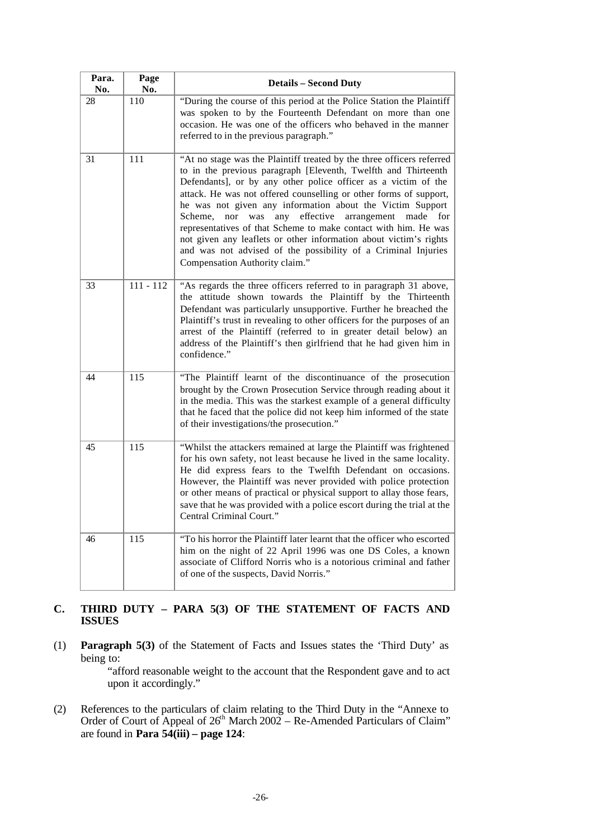| Para.<br>No. | Page<br>No. | <b>Details - Second Duty</b>                                                                                                                                                                                                                                                                                                                                                                                                                                                                                                                                                                                                                                |
|--------------|-------------|-------------------------------------------------------------------------------------------------------------------------------------------------------------------------------------------------------------------------------------------------------------------------------------------------------------------------------------------------------------------------------------------------------------------------------------------------------------------------------------------------------------------------------------------------------------------------------------------------------------------------------------------------------------|
| 28           | 110         | "During the course of this period at the Police Station the Plaintiff<br>was spoken to by the Fourteenth Defendant on more than one<br>occasion. He was one of the officers who behaved in the manner<br>referred to in the previous paragraph."                                                                                                                                                                                                                                                                                                                                                                                                            |
| 31           | 111         | "At no stage was the Plaintiff treated by the three officers referred<br>to in the previous paragraph [Eleventh, Twelfth and Thirteenth<br>Defendants], or by any other police officer as a victim of the<br>attack. He was not offered counselling or other forms of support,<br>he was not given any information about the Victim Support<br>Scheme,<br>nor was<br>any effective<br>arrangement<br>made<br>for<br>representatives of that Scheme to make contact with him. He was<br>not given any leaflets or other information about victim's rights<br>and was not advised of the possibility of a Criminal Injuries<br>Compensation Authority claim." |
| 33           | $111 - 112$ | "As regards the three officers referred to in paragraph 31 above,<br>the attitude shown towards the Plaintiff by the Thirteenth<br>Defendant was particularly unsupportive. Further he breached the<br>Plaintiff's trust in revealing to other officers for the purposes of an<br>arrest of the Plaintiff (referred to in greater detail below) an<br>address of the Plaintiff's then girlfriend that he had given him in<br>confidence."                                                                                                                                                                                                                   |
| 44           | 115         | "The Plaintiff learnt of the discontinuance of the prosecution<br>brought by the Crown Prosecution Service through reading about it<br>in the media. This was the starkest example of a general difficulty<br>that he faced that the police did not keep him informed of the state<br>of their investigations/the prosecution."                                                                                                                                                                                                                                                                                                                             |
| 45           | 115         | "Whilst the attackers remained at large the Plaintiff was frightened<br>for his own safety, not least because he lived in the same locality.<br>He did express fears to the Twelfth Defendant on occasions.<br>However, the Plaintiff was never provided with police protection<br>or other means of practical or physical support to allay those fears,<br>save that he was provided with a police escort during the trial at the<br>Central Criminal Court."                                                                                                                                                                                              |
| 46           | 115         | "To his horror the Plaintiff later learnt that the officer who escorted<br>him on the night of 22 April 1996 was one DS Coles, a known<br>associate of Clifford Norris who is a notorious criminal and father<br>of one of the suspects, David Norris."                                                                                                                                                                                                                                                                                                                                                                                                     |

## **C. THIRD DUTY – PARA 5(3) OF THE STATEMENT OF FACTS AND ISSUES**

(1) **Paragraph 5(3)** of the Statement of Facts and Issues states the 'Third Duty' as being to:

"afford reasonable weight to the account that the Respondent gave and to act upon it accordingly."

(2) References to the particulars of claim relating to the Third Duty in the "Annexe to Order of Court of Appeal of  $26<sup>th</sup>$  March 2002 – Re-Amended Particulars of Claim" are found in **Para 54(iii) – page 124**: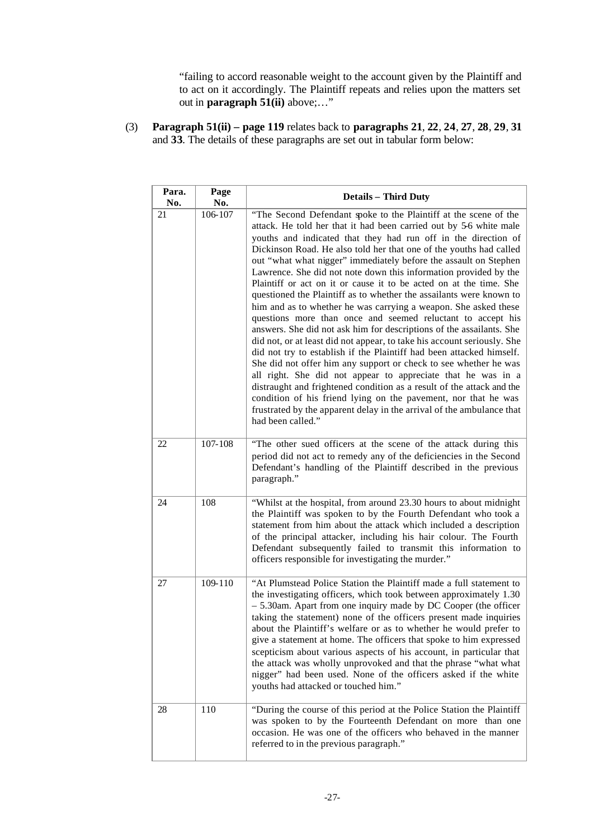"failing to accord reasonable weight to the account given by the Plaintiff and to act on it accordingly. The Plaintiff repeats and relies upon the matters set out in **paragraph 51(ii)** above;…"

(3) **Paragraph 51(ii) – page 119** relates back to **paragraphs 21**, **22**, **24**, **27**, **28**, **29**, **31** and **33**. The details of these paragraphs are set out in tabular form below:

| Para.<br>No. | Page<br>No. | <b>Details - Third Duty</b>                                                                                                                                                                                                                                                                                                                                                                                                                                                                                                                                                                                                                                                                                                                                                                                                                                                                                                                                                                                                                                                                                                                                                                                                                                                                                   |
|--------------|-------------|---------------------------------------------------------------------------------------------------------------------------------------------------------------------------------------------------------------------------------------------------------------------------------------------------------------------------------------------------------------------------------------------------------------------------------------------------------------------------------------------------------------------------------------------------------------------------------------------------------------------------------------------------------------------------------------------------------------------------------------------------------------------------------------------------------------------------------------------------------------------------------------------------------------------------------------------------------------------------------------------------------------------------------------------------------------------------------------------------------------------------------------------------------------------------------------------------------------------------------------------------------------------------------------------------------------|
| 21           | 106-107     | "The Second Defendant spoke to the Plaintiff at the scene of the<br>attack. He told her that it had been carried out by 5-6 white male<br>youths and indicated that they had run off in the direction of<br>Dickinson Road. He also told her that one of the youths had called<br>out "what what nigger" immediately before the assault on Stephen<br>Lawrence. She did not note down this information provided by the<br>Plaintiff or act on it or cause it to be acted on at the time. She<br>questioned the Plaintiff as to whether the assailants were known to<br>him and as to whether he was carrying a weapon. She asked these<br>questions more than once and seemed reluctant to accept his<br>answers. She did not ask him for descriptions of the assailants. She<br>did not, or at least did not appear, to take his account seriously. She<br>did not try to establish if the Plaintiff had been attacked himself.<br>She did not offer him any support or check to see whether he was<br>all right. She did not appear to appreciate that he was in a<br>distraught and frightened condition as a result of the attack and the<br>condition of his friend lying on the pavement, nor that he was<br>frustrated by the apparent delay in the arrival of the ambulance that<br>had been called." |
| 22           | 107-108     | "The other sued officers at the scene of the attack during this<br>period did not act to remedy any of the deficiencies in the Second<br>Defendant's handling of the Plaintiff described in the previous<br>paragraph."                                                                                                                                                                                                                                                                                                                                                                                                                                                                                                                                                                                                                                                                                                                                                                                                                                                                                                                                                                                                                                                                                       |
| 24           | 108         | "Whilst at the hospital, from around 23.30 hours to about midnight<br>the Plaintiff was spoken to by the Fourth Defendant who took a<br>statement from him about the attack which included a description<br>of the principal attacker, including his hair colour. The Fourth<br>Defendant subsequently failed to transmit this information to<br>officers responsible for investigating the murder."                                                                                                                                                                                                                                                                                                                                                                                                                                                                                                                                                                                                                                                                                                                                                                                                                                                                                                          |
| 27           | 109-110     | "At Plumstead Police Station the Plaintiff made a full statement to<br>the investigating officers, which took between approximately 1.30<br>- 5.30am. Apart from one inquiry made by DC Cooper (the officer<br>taking the statement) none of the officers present made inquiries<br>about the Plaintiff's welfare or as to whether he would prefer to<br>give a statement at home. The officers that spoke to him expressed<br>scepticism about various aspects of his account, in particular that<br>the attack was wholly unprovoked and that the phrase "what what<br>nigger" had been used. None of the officers asked if the white<br>youths had attacked or touched him."                                                                                                                                                                                                                                                                                                                                                                                                                                                                                                                                                                                                                               |
| 28           | 110         | "During the course of this period at the Police Station the Plaintiff<br>was spoken to by the Fourteenth Defendant on more than one<br>occasion. He was one of the officers who behaved in the manner<br>referred to in the previous paragraph."                                                                                                                                                                                                                                                                                                                                                                                                                                                                                                                                                                                                                                                                                                                                                                                                                                                                                                                                                                                                                                                              |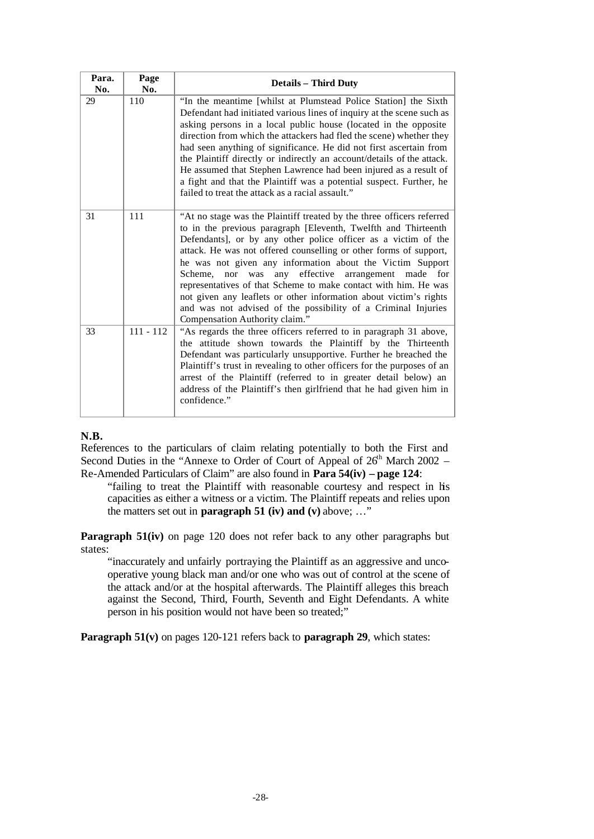| Para. | Page        | <b>Details - Third Duty</b>                                                                                                                                                                                                                                                                                                                                                                                                                                                                                                                                                                                                                           |
|-------|-------------|-------------------------------------------------------------------------------------------------------------------------------------------------------------------------------------------------------------------------------------------------------------------------------------------------------------------------------------------------------------------------------------------------------------------------------------------------------------------------------------------------------------------------------------------------------------------------------------------------------------------------------------------------------|
| No.   | No.         |                                                                                                                                                                                                                                                                                                                                                                                                                                                                                                                                                                                                                                                       |
| 29    | 110         | "In the meantime [whilst at Plumstead Police Station] the Sixth<br>Defendant had initiated various lines of inquiry at the scene such as<br>asking persons in a local public house (located in the opposite<br>direction from which the attackers had fled the scene) whether they<br>had seen anything of significance. He did not first ascertain from<br>the Plaintiff directly or indirectly an account/details of the attack.<br>He assumed that Stephen Lawrence had been injured as a result of<br>a fight and that the Plaintiff was a potential suspect. Further, he<br>failed to treat the attack as a racial assault."                     |
| 31    | 111         | "At no stage was the Plaintiff treated by the three officers referred<br>to in the previous paragraph [Eleventh, Twelfth and Thirteenth<br>Defendants], or by any other police officer as a victim of the<br>attack. He was not offered counselling or other forms of support,<br>he was not given any information about the Victim Support<br>any effective<br>arrangement made for<br>Scheme,<br>nor was<br>representatives of that Scheme to make contact with him. He was<br>not given any leaflets or other information about victim's rights<br>and was not advised of the possibility of a Criminal Injuries<br>Compensation Authority claim." |
| 33    | $111 - 112$ | "As regards the three officers referred to in paragraph 31 above,<br>the attitude shown towards the Plaintiff by the Thirteenth<br>Defendant was particularly unsupportive. Further he breached the<br>Plaintiff's trust in revealing to other officers for the purposes of an<br>arrest of the Plaintiff (referred to in greater detail below) an<br>address of the Plaintiff's then girlfriend that he had given him in<br>confidence."                                                                                                                                                                                                             |

#### **N.B.**

References to the particulars of claim relating potentially to both the First and Second Duties in the "Annexe to Order of Court of Appeal of  $26<sup>th</sup>$  March 2002 – Re-Amended Particulars of Claim" are also found in **Para 54(iv) – page 124**:

"failing to treat the Plaintiff with reasonable courtesy and respect in his capacities as either a witness or a victim. The Plaintiff repeats and relies upon the matters set out in **paragraph 51 (iv) and (v)** above; …"

**Paragraph 51(iv)** on page 120 does not refer back to any other paragraphs but states:

"inaccurately and unfairly portraying the Plaintiff as an aggressive and uncooperative young black man and/or one who was out of control at the scene of the attack and/or at the hospital afterwards. The Plaintiff alleges this breach against the Second, Third, Fourth, Seventh and Eight Defendants. A white person in his position would not have been so treated;"

**Paragraph 51(v)** on pages 120-121 refers back to **paragraph 29**, which states: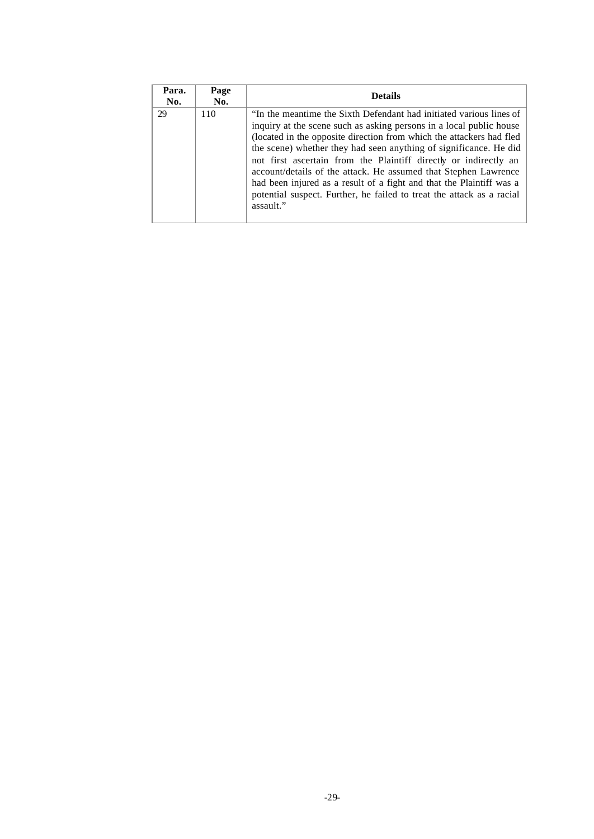| Para.<br>No. | Page<br>No. | <b>Details</b>                                                                                                                                                                                                                                                                                                                                                                                                                                                                                                                                                                               |
|--------------|-------------|----------------------------------------------------------------------------------------------------------------------------------------------------------------------------------------------------------------------------------------------------------------------------------------------------------------------------------------------------------------------------------------------------------------------------------------------------------------------------------------------------------------------------------------------------------------------------------------------|
| 29           | 110         | "In the meantime the Sixth Defendant had initiated various lines of<br>inquiry at the scene such as asking persons in a local public house<br>(located in the opposite direction from which the attackers had fled<br>the scene) whether they had seen anything of significance. He did<br>not first ascertain from the Plaintiff directly or indirectly an<br>account/details of the attack. He assumed that Stephen Lawrence<br>had been injured as a result of a fight and that the Plaintiff was a<br>potential suspect. Further, he failed to treat the attack as a racial<br>assault." |